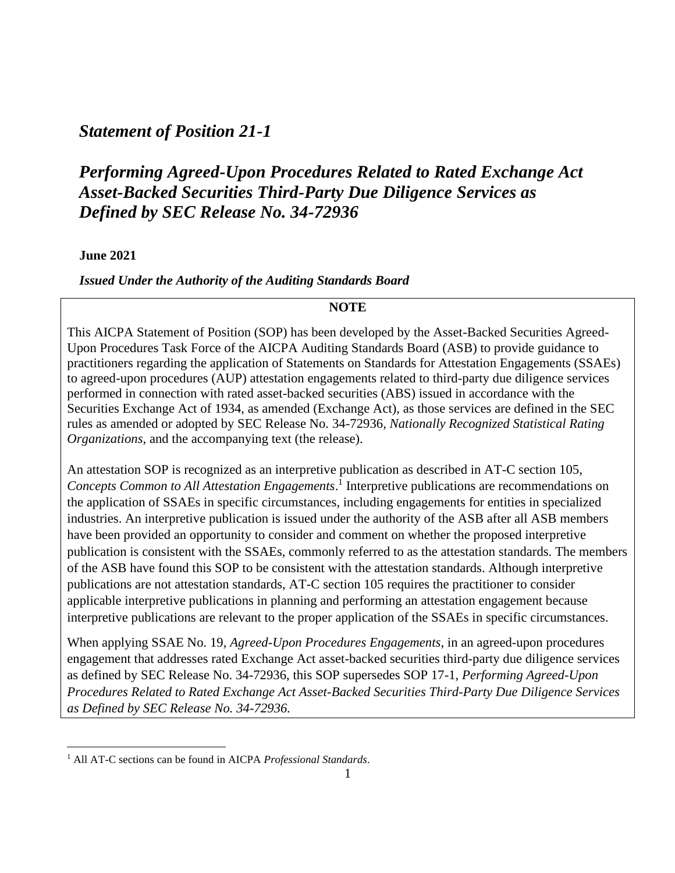# *Statement of Position 21-1*

*Performing Agreed-Upon Procedures Related to Rated Exchange Act Asset-Backed Securities Third-Party Due Diligence Services as Defined by SEC Release No. 34-72936*

### **June 2021**

#### *Issued Under the Authority of the Auditing Standards Board*

### **NOTE**

This AICPA Statement of Position (SOP) has been developed by the Asset-Backed Securities Agreed-Upon Procedures Task Force of the AICPA Auditing Standards Board (ASB) to provide guidance to practitioners regarding the application of Statements on Standards for Attestation Engagements (SSAEs) to agreed-upon procedures (AUP) attestation engagements related to third-party due diligence services performed in connection with rated asset-backed securities (ABS) issued in accordance with the Securities Exchange Act of 1934, as amended (Exchange Act), as those services are defined in the SEC rules as amended or adopted by SEC Release No. 34-72936, *Nationally Recognized Statistical Rating Organizations*, and the accompanying text (the release).

An attestation SOP is recognized as an interpretive publication as described in AT-C section 105, *Concepts Common to All Attestation Engagements*. 1 Interpretive publications are recommendations on the application of SSAEs in specific circumstances, including engagements for entities in specialized industries. An interpretive publication is issued under the authority of the ASB after all ASB members have been provided an opportunity to consider and comment on whether the proposed interpretive publication is consistent with the SSAEs, commonly referred to as the attestation standards. The members of the ASB have found this SOP to be consistent with the attestation standards. Although interpretive publications are not attestation standards, AT-C section 105 requires the practitioner to consider applicable interpretive publications in planning and performing an attestation engagement because interpretive publications are relevant to the proper application of the SSAEs in specific circumstances.

When applying SSAE No. 19, *Agreed-Upon Procedures Engagements*, in an agreed-upon procedures engagement that addresses rated Exchange Act asset-backed securities third-party due diligence services as defined by SEC Release No. 34-72936, this SOP supersedes SOP 17-1, *Performing Agreed-Upon Procedures Related to Rated Exchange Act Asset-Backed Securities Third-Party Due Diligence Services as Defined by SEC Release No. 34-72936.* 

<sup>1</sup> All AT-C sections can be found in AICPA *Professional Standards*.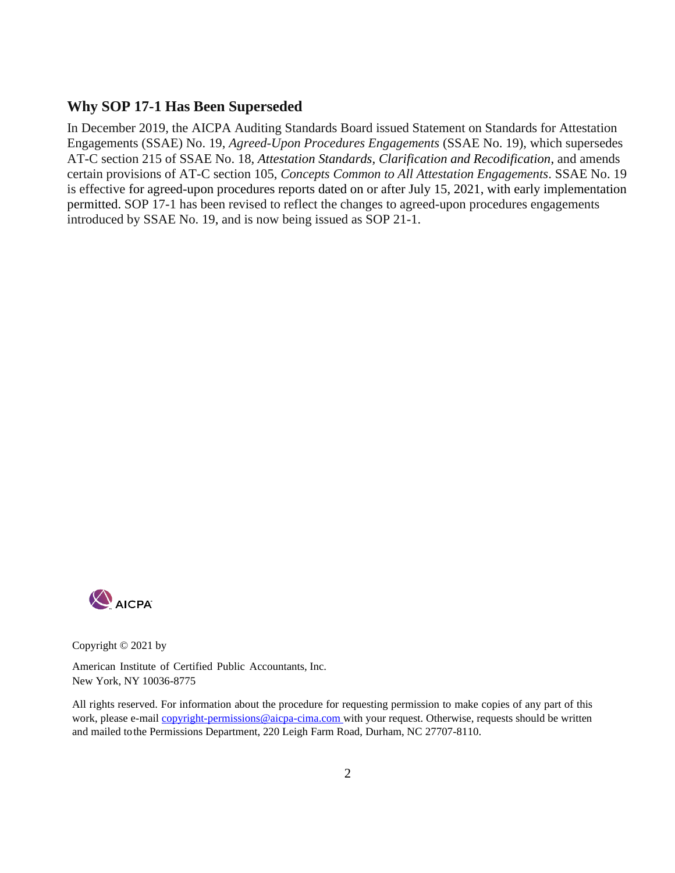## **Why SOP 17-1 Has Been Superseded**

In December 2019, the AICPA Auditing Standards Board issued Statement on Standards for Attestation Engagements (SSAE) No. 19, *Agreed-Upon Procedures Engagements* (SSAE No. 19), which supersedes AT-C section 215 of SSAE No. 18, *Attestation Standards, Clarification and Recodification*, and amends certain provisions of AT-C section 105, *Concepts Common to All Attestation Engagements*. SSAE No. 19 is effective for agreed-upon procedures reports dated on or after July 15, 2021, with early implementation permitted. SOP 17-1 has been revised to reflect the changes to agreed-upon procedures engagements introduced by SSAE No. 19, and is now being issued as SOP 21-1.



Copyright © 2021 by

American Institute of Certified Public Accountants, Inc. New York, NY 10036-8775

All rights reserved. For information about the procedure for requesting permission to make copies of any part of this work, please e-mai[l copyright-permissions@aicpa-cima.com w](mailto:copyright-permissions@aicpa-cima.com)ith your request. Otherwise, requests should be written and mailed tothe Permissions Department, 220 Leigh Farm Road, Durham, NC 27707-8110.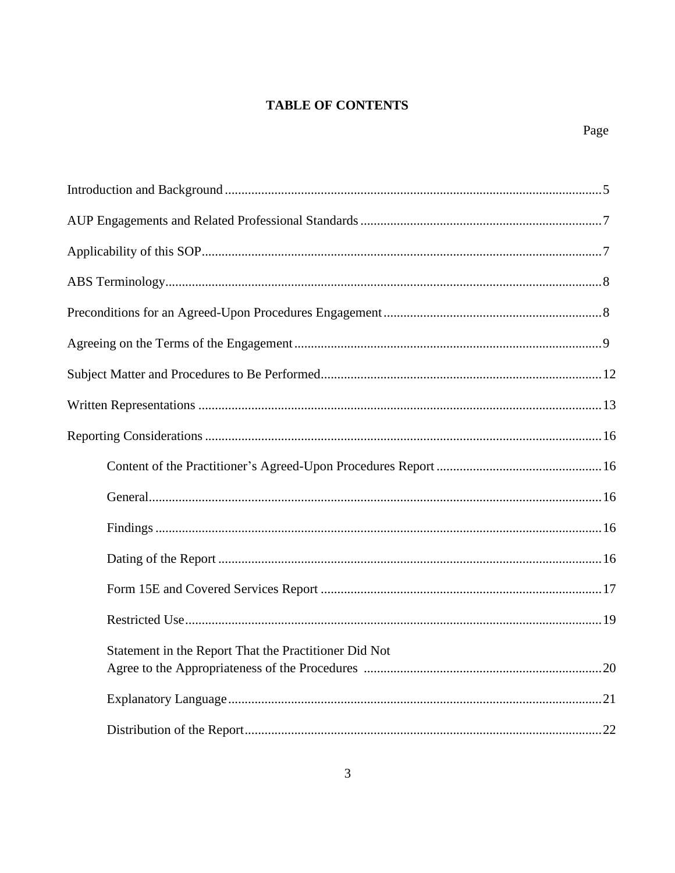# **TABLE OF CONTENTS**

| Statement in the Report That the Practitioner Did Not |  |
|-------------------------------------------------------|--|
|                                                       |  |
|                                                       |  |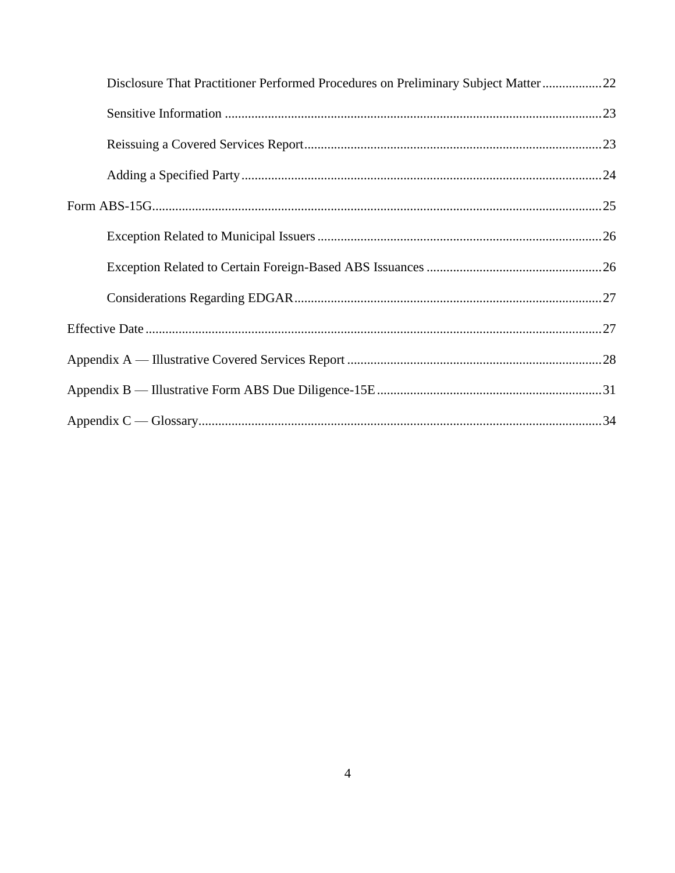| Disclosure That Practitioner Performed Procedures on Preliminary Subject Matter22 |  |
|-----------------------------------------------------------------------------------|--|
|                                                                                   |  |
|                                                                                   |  |
|                                                                                   |  |
|                                                                                   |  |
|                                                                                   |  |
|                                                                                   |  |
|                                                                                   |  |
|                                                                                   |  |
|                                                                                   |  |
|                                                                                   |  |
|                                                                                   |  |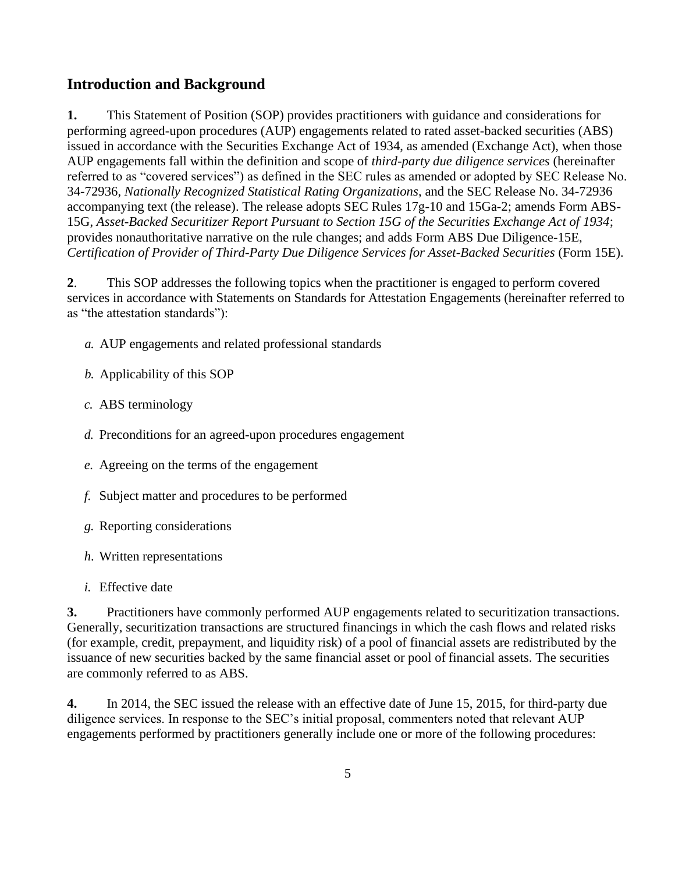## **Introduction and Background**

**1.** This Statement of Position (SOP) provides practitioners with guidance and considerations for performing agreed-upon procedures (AUP) engagements related to rated asset-backed securities (ABS) issued in accordance with the Securities Exchange Act of 1934, as amended (Exchange Act), when those AUP engagements fall within the definition and scope of *third-party due diligence services* (hereinafter referred to as "covered services") as defined in the SEC rules as amended or adopted by SEC Release No. 34-72936, *Nationally Recognized Statistical Rating Organizations*, and the SEC Release No. 34-72936 accompanying text (the release). The release adopts SEC Rules 17g-10 and 15Ga-2; amends Form ABS-15G, *Asset-Backed Securitizer Report Pursuant to Section 15G of the Securities Exchange Act of 1934*; provides nonauthoritative narrative on the rule changes; and adds Form ABS Due Diligence-15E, *Certification of Provider of Third-Party Due Diligence Services for Asset-Backed Securities* (Form 15E).

**2**. This SOP addresses the following topics when the practitioner is engaged to perform covered services in accordance with Statements on Standards for Attestation Engagements (hereinafter referred to as "the attestation standards"):

- *a.* AUP engagements and related professional standards
- *b.* Applicability of this SOP
- *c.* ABS terminology
- *d.* Preconditions for an agreed-upon procedures engagement
- *e.* Agreeing on the terms of the engagement
- *f.* Subject matter and procedures to be performed
- *g.* Reporting considerations
- *h*. Written representations
- *i.* Effective date

**3.** Practitioners have commonly performed AUP engagements related to securitization transactions. Generally, securitization transactions are structured financings in which the cash flows and related risks (for example, credit, prepayment, and liquidity risk) of a pool of financial assets are redistributed by the issuance of new securities backed by the same financial asset or pool of financial assets. The securities are commonly referred to as ABS.

**4.** In 2014, the SEC issued the release with an effective date of June 15, 2015, for third-party due diligence services. In response to the SEC's initial proposal, commenters noted that relevant AUP engagements performed by practitioners generally include one or more of the following procedures: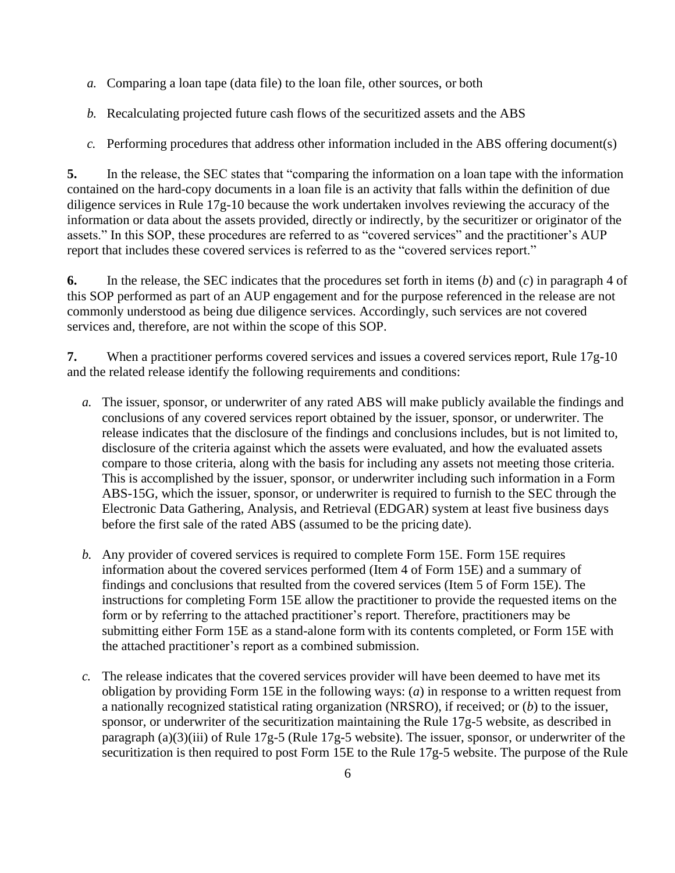- *a.* Comparing a loan tape (data file) to the loan file, other sources, or both
- *b.* Recalculating projected future cash flows of the securitized assets and the ABS
- *c.* Performing procedures that address other information included in the ABS offering document(s)

**5.** In the release, the SEC states that "comparing the information on a loan tape with the information contained on the hard-copy documents in a loan file is an activity that falls within the definition of due diligence services in Rule 17g-10 because the work undertaken involves reviewing the accuracy of the information or data about the assets provided, directly or indirectly, by the securitizer or originator of the assets." In this SOP, these procedures are referred to as "covered services" and the practitioner's AUP report that includes these covered services is referred to as the "covered services report."

**6.** In the release, the SEC indicates that the procedures set forth in items (*b*) and (*c*) in paragraph 4 of this SOP performed as part of an AUP engagement and for the purpose referenced in the release are not commonly understood as being due diligence services. Accordingly, such services are not covered services and, therefore, are not within the scope of this SOP.

**7.** When a practitioner performs covered services and issues a covered services report, Rule 17g-10 and the related release identify the following requirements and conditions:

- *a.* The issuer, sponsor, or underwriter of any rated ABS will make publicly available the findings and conclusions of any covered services report obtained by the issuer, sponsor, or underwriter. The release indicates that the disclosure of the findings and conclusions includes, but is not limited to, disclosure of the criteria against which the assets were evaluated, and how the evaluated assets compare to those criteria, along with the basis for including any assets not meeting those criteria. This is accomplished by the issuer, sponsor, or underwriter including such information in a Form ABS-15G, which the issuer, sponsor, or underwriter is required to furnish to the SEC through the Electronic Data Gathering, Analysis, and Retrieval (EDGAR) system at least five business days before the first sale of the rated ABS (assumed to be the pricing date).
- *b.* Any provider of covered services is required to complete Form 15E. Form 15E requires information about the covered services performed (Item 4 of Form 15E) and a summary of findings and conclusions that resulted from the covered services (Item 5 of Form 15E). The instructions for completing Form 15E allow the practitioner to provide the requested items on the form or by referring to the attached practitioner's report. Therefore, practitioners may be submitting either Form 15E as a stand-alone form with its contents completed, or Form 15E with the attached practitioner's report as a combined submission.
- *c.* The release indicates that the covered services provider will have been deemed to have met its obligation by providing Form 15E in the following ways: (*a*) in response to a written request from a nationally recognized statistical rating organization (NRSRO), if received; or (*b*) to the issuer, sponsor, or underwriter of the securitization maintaining the Rule 17g-5 website, as described in paragraph (a)(3)(iii) of Rule 17g-5 (Rule 17g-5 website). The issuer, sponsor, or underwriter of the securitization is then required to post Form 15E to the Rule 17g-5 website. The purpose of the Rule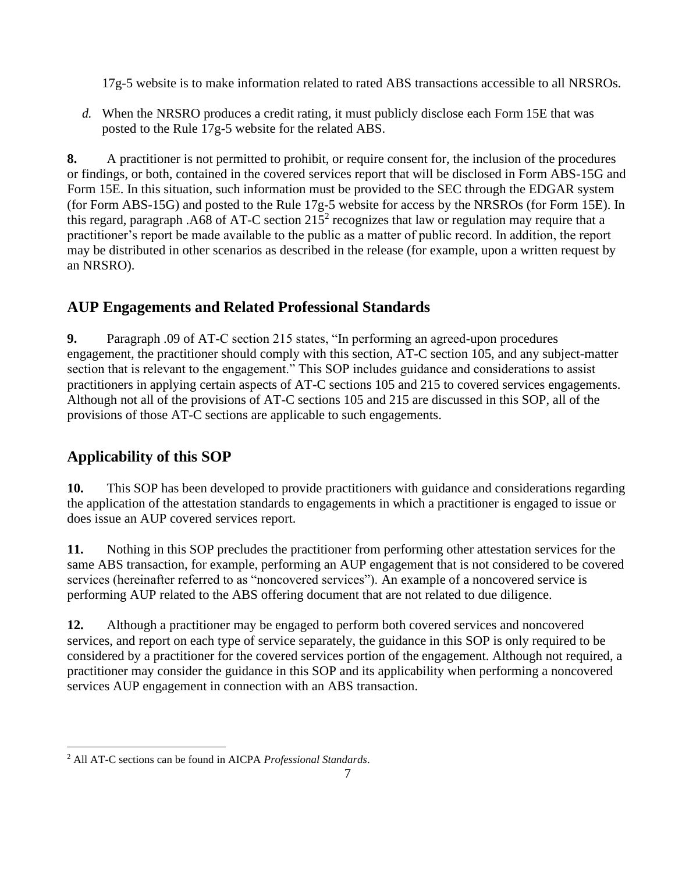17g-5 website is to make information related to rated ABS transactions accessible to all NRSROs.

*d.* When the NRSRO produces a credit rating, it must publicly disclose each Form 15E that was posted to the Rule 17g-5 website for the related ABS.

**8.** A practitioner is not permitted to prohibit, or require consent for, the inclusion of the procedures or findings, or both, contained in the covered services report that will be disclosed in Form ABS-15G and Form 15E. In this situation, such information must be provided to the SEC through the EDGAR system (for Form ABS-15G) and posted to the Rule 17g-5 website for access by the NRSROs (for Form 15E). In this regard, paragraph .A68 of AT-C section  $215^2$  recognizes that law or regulation may require that a practitioner's report be made available to the public as a matter of public record. In addition, the report may be distributed in other scenarios as described in the release (for example, upon a written request by an NRSRO).

# <span id="page-6-0"></span>**AUP Engagements and Related Professional Standards**

**9.** Paragraph .09 of AT-C section 215 states, "In performing an agreed-upon procedures engagement, the practitioner should comply with this section, AT-C section 105, and any subject-matter section that is relevant to the engagement." This SOP includes guidance and considerations to assist practitioners in applying certain aspects of AT-C sections 105 and 215 to covered services engagements. Although not all of the provisions of AT-C sections 105 and 215 are discussed in this SOP, all of the provisions of those AT-C sections are applicable to such engagements.

# <span id="page-6-1"></span>**Applicability of this SOP**

**10.** This SOP has been developed to provide practitioners with guidance and considerations regarding the application of the attestation standards to engagements in which a practitioner is engaged to issue or does issue an AUP covered services report.

**11.** Nothing in this SOP precludes the practitioner from performing other attestation services for the same ABS transaction, for example, performing an AUP engagement that is not considered to be covered services (hereinafter referred to as "noncovered services"). An example of a noncovered service is performing AUP related to the ABS offering document that are not related to due diligence.

**12.** Although a practitioner may be engaged to perform both covered services and noncovered services, and report on each type of service separately, the guidance in this SOP is only required to be considered by a practitioner for the covered services portion of the engagement. Although not required, a practitioner may consider the guidance in this SOP and its applicability when performing a noncovered services AUP engagement in connection with an ABS transaction.

<sup>2</sup> All AT-C sections can be found in AICPA *Professional Standards*.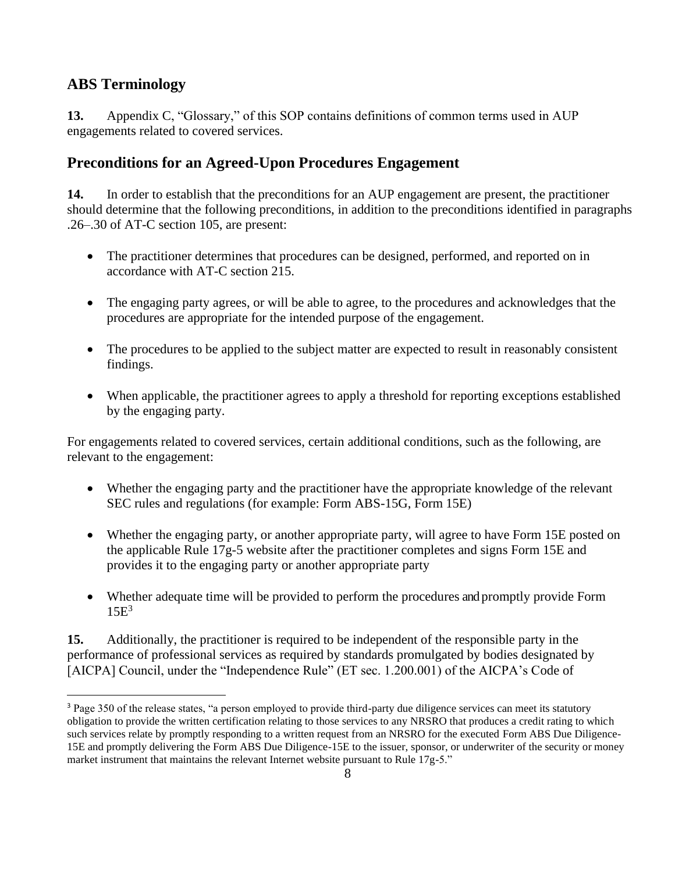# **ABS Terminology**

**13.** Appendix C, "Glossary," of this SOP contains definitions of common terms used in AUP engagements related to covered services.

# <span id="page-7-0"></span>**Preconditions for an Agreed-Upon Procedures Engagement**

**14.** In order to establish that the preconditions for an AUP engagement are present, the practitioner should determine that the following preconditions, in addition to the preconditions identified in paragraphs .26–.30 of AT-C section 105, are present:

- The practitioner determines that procedures can be designed, performed, and reported on in accordance with AT-C section 215.
- The engaging party agrees, or will be able to agree, to the procedures and acknowledges that the procedures are appropriate for the intended purpose of the engagement.
- The procedures to be applied to the subject matter are expected to result in reasonably consistent findings.
- When applicable, the practitioner agrees to apply a threshold for reporting exceptions established by the engaging party.

For engagements related to covered services, certain additional conditions, such as the following, are relevant to the engagement:

- Whether the engaging party and the practitioner have the appropriate knowledge of the relevant SEC rules and regulations (for example: Form ABS-15G, Form 15E)
- Whether the engaging party, or another appropriate party, will agree to have Form 15E posted on the applicable Rule 17g-5 website after the practitioner completes and signs Form 15E and provides it to the engaging party or another appropriate party
- Whether adequate time will be provided to perform the procedures and promptly provide Form  $15E^3$

**15.** Additionally, the practitioner is required to be independent of the responsible party in the performance of professional services as required by standards promulgated by bodies designated by [AICPA] Council, under the "Independence Rule" (ET sec. 1.200.001) of the AICPA's Code of

<sup>&</sup>lt;sup>3</sup> Page 350 of the release states, "a person employed to provide third-party due diligence services can meet its statutory obligation to provide the written certification relating to those services to any NRSRO that produces a credit rating to which such services relate by promptly responding to a written request from an NRSRO for the executed Form ABS Due Diligence-15E and promptly delivering the Form ABS Due Diligence-15E to the issuer, sponsor, or underwriter of the security or money market instrument that maintains the relevant Internet website pursuant to Rule 17g-5."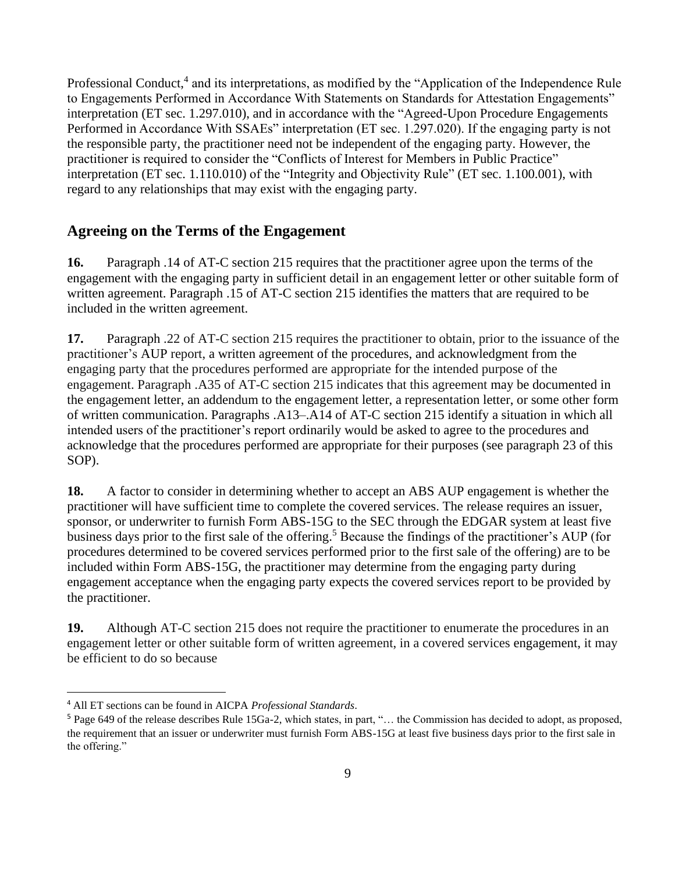Professional Conduct,<sup>4</sup> and its interpretations, as modified by the "Application of the Independence Rule to Engagements Performed in Accordance With Statements on Standards for Attestation Engagements" interpretation (ET sec. 1.297.010), and in accordance with the "Agreed-Upon Procedure Engagements Performed in Accordance With SSAEs" interpretation (ET sec. 1.297.020). If the engaging party is not the responsible party, the practitioner need not be independent of the engaging party. However, the practitioner is required to consider the "Conflicts of Interest for Members in Public Practice" interpretation (ET sec. 1.110.010) of the "Integrity and Objectivity Rule" (ET sec. 1.100.001), with regard to any relationships that may exist with the engaging party.

## <span id="page-8-0"></span>**Agreeing on the Terms of the Engagement**

**16.** Paragraph .14 of AT-C section 215 requires that the practitioner agree upon the terms of the engagement with the engaging party in sufficient detail in an engagement letter or other suitable form of written agreement. Paragraph .15 of AT-C section 215 identifies the matters that are required to be included in the written agreement.

**17.** Paragraph .22 of AT-C section 215 requires the practitioner to obtain, prior to the issuance of the practitioner's AUP report, a written agreement of the procedures, and acknowledgment from the engaging party that the procedures performed are appropriate for the intended purpose of the engagement. Paragraph .A35 of AT-C section 215 indicates that this agreement may be documented in the engagement letter, an addendum to the engagement letter, a representation letter, or some other form of written communication. Paragraphs .A13–.A14 of AT-C section 215 identify a situation in which all intended users of the practitioner's report ordinarily would be asked to agree to the procedures and acknowledge that the procedures performed are appropriate for their purposes (see paragraph 23 of this SOP).

**18.** A factor to consider in determining whether to accept an ABS AUP engagement is whether the practitioner will have sufficient time to complete the covered services. The release requires an issuer, sponsor, or underwriter to furnish Form ABS-15G to the SEC through the EDGAR system at least five business days prior to the first sale of the offering.<sup>5</sup> Because the findings of the practitioner's AUP (for procedures determined to be covered services performed prior to the first sale of the offering) are to be included within Form ABS-15G, the practitioner may determine from the engaging party during engagement acceptance when the engaging party expects the covered services report to be provided by the practitioner.

**19.** Although AT-C section 215 does not require the practitioner to enumerate the procedures in an engagement letter or other suitable form of written agreement, in a covered services engagement, it may be efficient to do so because

<sup>4</sup> All ET sections can be found in AICPA *Professional Standards*.

<sup>5</sup> Page 649 of the release describes Rule 15Ga-2, which states, in part, "… the Commission has decided to adopt, as proposed, the requirement that an issuer or underwriter must furnish Form ABS-15G at least five business days prior to the first sale in the offering."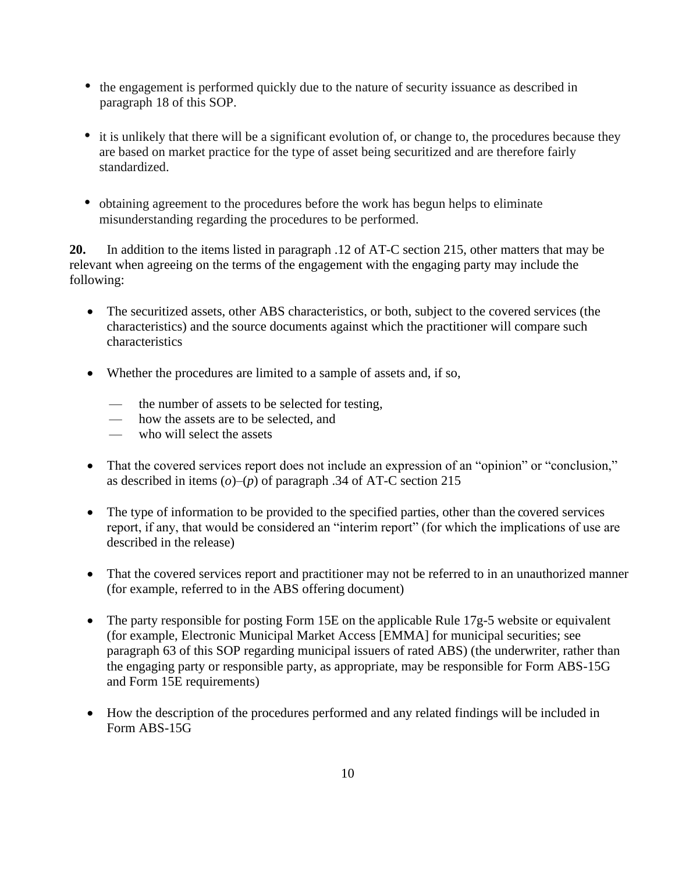- the engagement is performed quickly due to the nature of security issuance as described in paragraph 18 of this SOP.
- it is unlikely that there will be a significant evolution of, or change to, the procedures because they are based on market practice for the type of asset being securitized and are therefore fairly standardized.
- obtaining agreement to the procedures before the work has begun helps to eliminate misunderstanding regarding the procedures to be performed.

**20.** In addition to the items listed in paragraph .12 of AT-C section 215, other matters that may be relevant when agreeing on the terms of the engagement with the engaging party may include the following:

- The securitized assets, other ABS characteristics, or both, subject to the covered services (the characteristics) and the source documents against which the practitioner will compare such characteristics
- Whether the procedures are limited to a sample of assets and, if so,
	- the number of assets to be selected for testing,
	- how the assets are to be selected, and
	- who will select the assets
- That the covered services report does not include an expression of an "opinion" or "conclusion," as described in items  $(o)$ – $(p)$  of paragraph .34 of AT-C section 215
- The type of information to be provided to the specified parties, other than the covered services report, if any, that would be considered an "interim report" (for which the implications of use are described in the release)
- That the covered services report and practitioner may not be referred to in an unauthorized manner (for example, referred to in the ABS offering document)
- The party responsible for posting Form 15E on the applicable Rule 17g-5 website or equivalent (for example, Electronic Municipal Market Access [EMMA] for municipal securities; see paragraph 63 of this SOP regarding municipal issuers of rated ABS) (the underwriter, rather than the engaging party or responsible party, as appropriate, may be responsible for Form ABS-15G and Form 15E requirements)
- How the description of the procedures performed and any related findings will be included in Form ABS-15G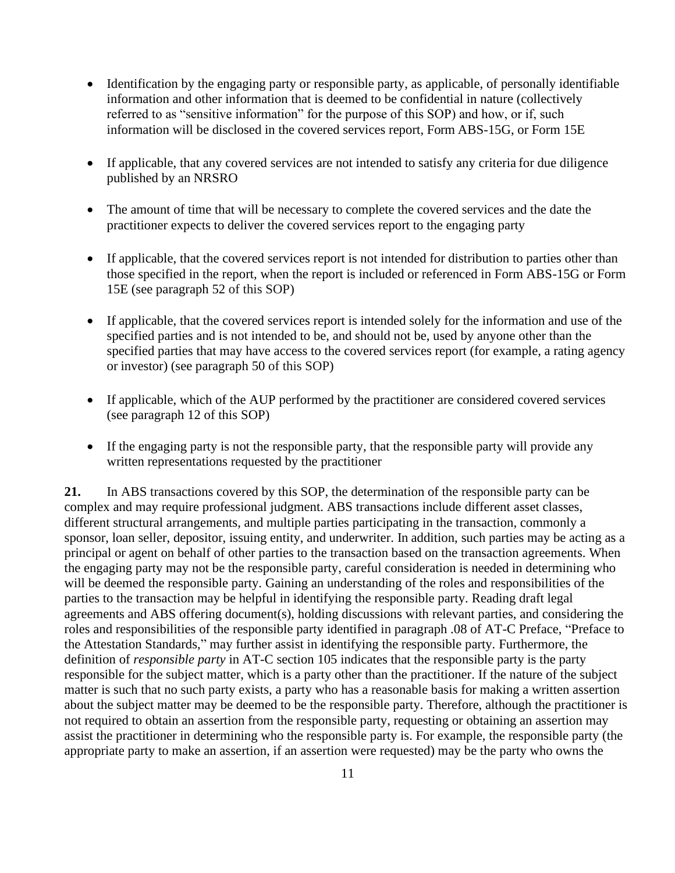- Identification by the engaging party or responsible party, as applicable, of personally identifiable information and other information that is deemed to be confidential in nature (collectively referred to as "sensitive information" for the purpose of this SOP) and how, or if, such information will be disclosed in the covered services report, Form ABS-15G, or Form 15E
- If applicable, that any covered services are not intended to satisfy any criteria for due diligence published by an NRSRO
- The amount of time that will be necessary to complete the covered services and the date the practitioner expects to deliver the covered services report to the engaging party
- If applicable, that the covered services report is not intended for distribution to parties other than those specified in the report, when the report is included or referenced in Form ABS-15G or Form 15E (see paragraph 52 of this SOP)
- If applicable, that the covered services report is intended solely for the information and use of the specified parties and is not intended to be, and should not be, used by anyone other than the specified parties that may have access to the covered services report (for example, a rating agency or investor) (see paragraph 50 of this SOP)
- If applicable, which of the AUP performed by the practitioner are considered covered services (see paragraph 12 of this SOP)
- If the engaging party is not the responsible party, that the responsible party will provide any written representations requested by the practitioner

**21.** In ABS transactions covered by this SOP, the determination of the responsible party can be complex and may require professional judgment. ABS transactions include different asset classes, different structural arrangements, and multiple parties participating in the transaction, commonly a sponsor, loan seller, depositor, issuing entity, and underwriter. In addition, such parties may be acting as a principal or agent on behalf of other parties to the transaction based on the transaction agreements. When the engaging party may not be the responsible party, careful consideration is needed in determining who will be deemed the responsible party. Gaining an understanding of the roles and responsibilities of the parties to the transaction may be helpful in identifying the responsible party. Reading draft legal agreements and ABS offering document(s), holding discussions with relevant parties, and considering the roles and responsibilities of the responsible party identified in paragraph .08 of AT-C Preface, "Preface to the Attestation Standards," may further assist in identifying the responsible party*.* Furthermore, the definition of *responsible party* in AT-C section 105 indicates that the responsible party is the party responsible for the subject matter, which is a party other than the practitioner. If the nature of the subject matter is such that no such party exists, a party who has a reasonable basis for making a written assertion about the subject matter may be deemed to be the responsible party. Therefore, although the practitioner is not required to obtain an assertion from the responsible party, requesting or obtaining an assertion may assist the practitioner in determining who the responsible party is. For example, the responsible party (the appropriate party to make an assertion, if an assertion were requested) may be the party who owns the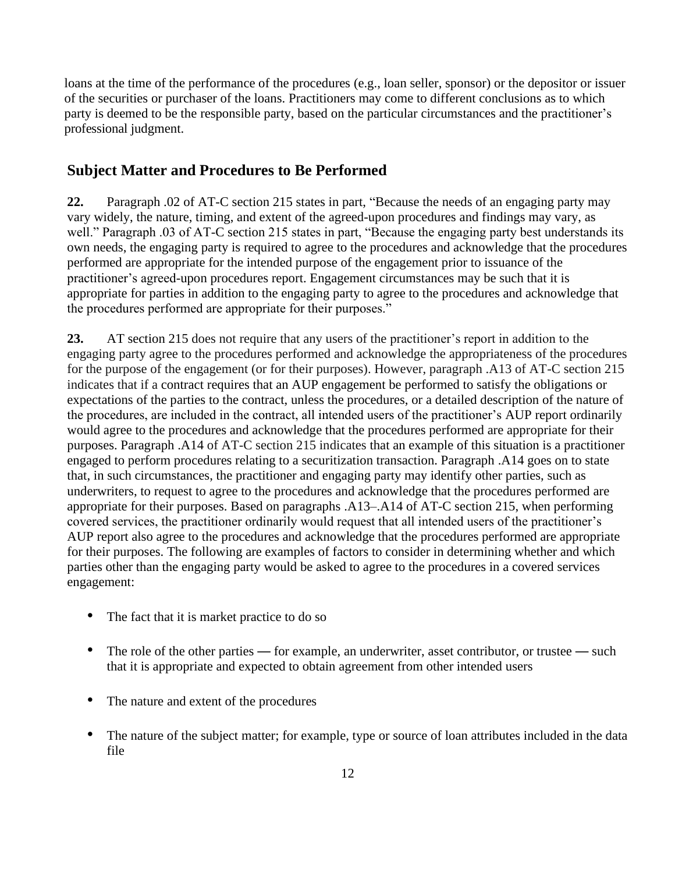loans at the time of the performance of the procedures (e.g., loan seller, sponsor) or the depositor or issuer of the securities or purchaser of the loans. Practitioners may come to different conclusions as to which party is deemed to be the responsible party, based on the particular circumstances and the practitioner's professional judgment.

## **Subject Matter and Procedures to Be Performed**

**22.** Paragraph .02 of AT-C section 215 states in part, "Because the needs of an engaging party may vary widely, the nature, timing, and extent of the agreed-upon procedures and findings may vary, as well." Paragraph .03 of AT-C section 215 states in part, "Because the engaging party best understands its own needs, the engaging party is required to agree to the procedures and acknowledge that the procedures performed are appropriate for the intended purpose of the engagement prior to issuance of the practitioner's agreed-upon procedures report. Engagement circumstances may be such that it is appropriate for parties in addition to the engaging party to agree to the procedures and acknowledge that the procedures performed are appropriate for their purposes."

**23.** AT section 215 does not require that any users of the practitioner's report in addition to the engaging party agree to the procedures performed and acknowledge the appropriateness of the procedures for the purpose of the engagement (or for their purposes). However, paragraph .A13 of AT-C section 215 indicates that if a contract requires that an AUP engagement be performed to satisfy the obligations or expectations of the parties to the contract, unless the procedures, or a detailed description of the nature of the procedures, are included in the contract, all intended users of the practitioner's AUP report ordinarily would agree to the procedures and acknowledge that the procedures performed are appropriate for their purposes. Paragraph .A14 of AT-C section 215 indicates that an example of this situation is a practitioner engaged to perform procedures relating to a securitization transaction. Paragraph .A14 goes on to state that, in such circumstances, the practitioner and engaging party may identify other parties, such as underwriters, to request to agree to the procedures and acknowledge that the procedures performed are appropriate for their purposes. Based on paragraphs .A13–.A14 of AT-C section 215, when performing covered services, the practitioner ordinarily would request that all intended users of the practitioner's AUP report also agree to the procedures and acknowledge that the procedures performed are appropriate for their purposes. The following are examples of factors to consider in determining whether and which parties other than the engaging party would be asked to agree to the procedures in a covered services engagement:

- The fact that it is market practice to do so
- The role of the other parties for example, an underwriter, asset contributor, or trustee such that it is appropriate and expected to obtain agreement from other intended users
- The nature and extent of the procedures
- The nature of the subject matter; for example, type or source of loan attributes included in the data file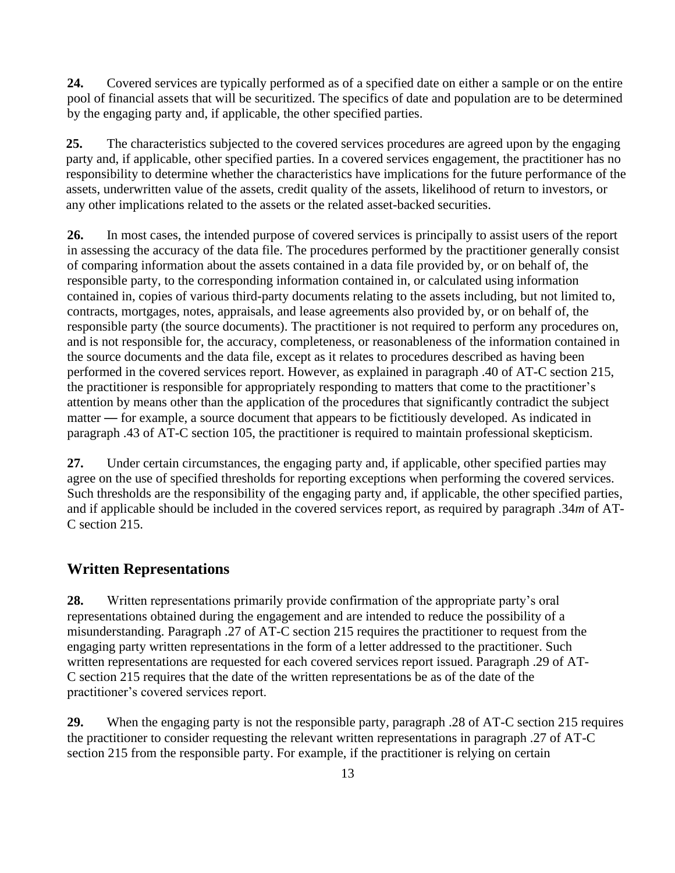**24.** Covered services are typically performed as of a specified date on either a sample or on the entire pool of financial assets that will be securitized. The specifics of date and population are to be determined by the engaging party and, if applicable, the other specified parties.

**25.** The characteristics subjected to the covered services procedures are agreed upon by the engaging party and, if applicable, other specified parties. In a covered services engagement, the practitioner has no responsibility to determine whether the characteristics have implications for the future performance of the assets, underwritten value of the assets, credit quality of the assets, likelihood of return to investors, or any other implications related to the assets or the related asset-backed securities.

**26.** In most cases, the intended purpose of covered services is principally to assist users of the report in assessing the accuracy of the data file. The procedures performed by the practitioner generally consist of comparing information about the assets contained in a data file provided by, or on behalf of, the responsible party, to the corresponding information contained in, or calculated using information contained in, copies of various third-party documents relating to the assets including, but not limited to, contracts, mortgages, notes, appraisals, and lease agreements also provided by, or on behalf of, the responsible party (the source documents). The practitioner is not required to perform any procedures on, and is not responsible for, the accuracy, completeness, or reasonableness of the information contained in the source documents and the data file, except as it relates to procedures described as having been performed in the covered services report. However, as explained in paragraph .40 of AT-C section 215, the practitioner is responsible for appropriately responding to matters that come to the practitioner's attention by means other than the application of the procedures that significantly contradict the subject matter — for example, a source document that appears to be fictitiously developed. As indicated in paragraph .43 of AT-C section 105, the practitioner is required to maintain professional skepticism.

**27.** Under certain circumstances, the engaging party and, if applicable, other specified parties may agree on the use of specified thresholds for reporting exceptions when performing the covered services. Such thresholds are the responsibility of the engaging party and, if applicable, the other specified parties, and if applicable should be included in the covered services report, as required by paragraph .34*m* of AT-C section 215.

## <span id="page-12-0"></span>**Written Representations**

**28.** Written representations primarily provide confirmation of the appropriate party's oral representations obtained during the engagement and are intended to reduce the possibility of a misunderstanding. Paragraph .27 of AT-C section 215 requires the practitioner to request from the engaging party written representations in the form of a letter addressed to the practitioner. Such written representations are requested for each covered services report issued. Paragraph .29 of AT-C section 215 requires that the date of the written representations be as of the date of the practitioner's covered services report.

**29.** When the engaging party is not the responsible party, paragraph .28 of AT-C section 215 requires the practitioner to consider requesting the relevant written representations in paragraph .27 of AT-C section 215 from the responsible party. For example, if the practitioner is relying on certain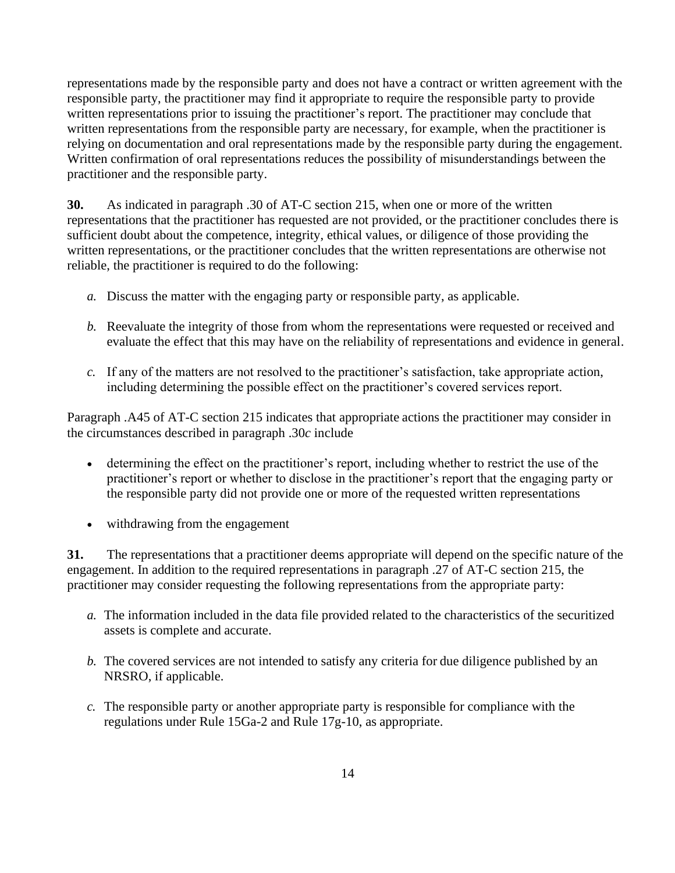representations made by the responsible party and does not have a contract or written agreement with the responsible party, the practitioner may find it appropriate to require the responsible party to provide written representations prior to issuing the practitioner's report. The practitioner may conclude that written representations from the responsible party are necessary, for example, when the practitioner is relying on documentation and oral representations made by the responsible party during the engagement. Written confirmation of oral representations reduces the possibility of misunderstandings between the practitioner and the responsible party.

**30.** As indicated in paragraph .30 of AT-C section 215, when one or more of the written representations that the practitioner has requested are not provided, or the practitioner concludes there is sufficient doubt about the competence, integrity, ethical values, or diligence of those providing the written representations, or the practitioner concludes that the written representations are otherwise not reliable, the practitioner is required to do the following:

- *a.* Discuss the matter with the engaging party or responsible party, as applicable.
- *b.* Reevaluate the integrity of those from whom the representations were requested or received and evaluate the effect that this may have on the reliability of representations and evidence in general.
- *c.* If any of the matters are not resolved to the practitioner's satisfaction, take appropriate action, including determining the possible effect on the practitioner's covered services report.

Paragraph .A45 of AT-C section 215 indicates that appropriate actions the practitioner may consider in the circumstances described in paragraph .30*c* include

- determining the effect on the practitioner's report, including whether to restrict the use of the practitioner's report or whether to disclose in the practitioner's report that the engaging party or the responsible party did not provide one or more of the requested written representations
- withdrawing from the engagement

**31.** The representations that a practitioner deems appropriate will depend on the specific nature of the engagement. In addition to the required representations in paragraph .27 of AT-C section 215, the practitioner may consider requesting the following representations from the appropriate party:

- *a.* The information included in the data file provided related to the characteristics of the securitized assets is complete and accurate.
- *b.* The covered services are not intended to satisfy any criteria for due diligence published by an NRSRO, if applicable.
- *c.* The responsible party or another appropriate party is responsible for compliance with the regulations under Rule 15Ga-2 and Rule 17g-10, as appropriate.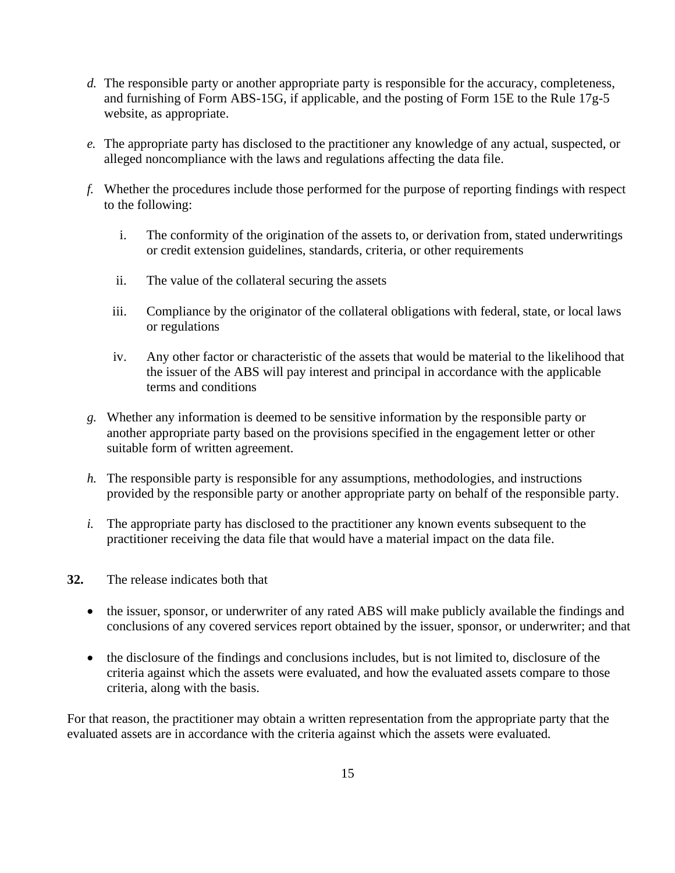- *d.* The responsible party or another appropriate party is responsible for the accuracy, completeness, and furnishing of Form ABS-15G, if applicable, and the posting of Form 15E to the Rule 17g-5 website, as appropriate.
- *e.* The appropriate party has disclosed to the practitioner any knowledge of any actual, suspected, or alleged noncompliance with the laws and regulations affecting the data file.
- *f.* Whether the procedures include those performed for the purpose of reporting findings with respect to the following:
	- i. The conformity of the origination of the assets to, or derivation from, stated underwritings or credit extension guidelines, standards, criteria, or other requirements
	- ii. The value of the collateral securing the assets
	- iii. Compliance by the originator of the collateral obligations with federal, state, or local laws or regulations
	- iv. Any other factor or characteristic of the assets that would be material to the likelihood that the issuer of the ABS will pay interest and principal in accordance with the applicable terms and conditions
- *g.* Whether any information is deemed to be sensitive information by the responsible party or another appropriate party based on the provisions specified in the engagement letter or other suitable form of written agreement.
- *h.* The responsible party is responsible for any assumptions, methodologies, and instructions provided by the responsible party or another appropriate party on behalf of the responsible party.
- *i.* The appropriate party has disclosed to the practitioner any known events subsequent to the practitioner receiving the data file that would have a material impact on the data file.
- **32.** The release indicates both that
	- the issuer, sponsor, or underwriter of any rated ABS will make publicly available the findings and conclusions of any covered services report obtained by the issuer, sponsor, or underwriter; and that
	- the disclosure of the findings and conclusions includes, but is not limited to, disclosure of the criteria against which the assets were evaluated, and how the evaluated assets compare to those criteria, along with the basis.

For that reason, the practitioner may obtain a written representation from the appropriate party that the evaluated assets are in accordance with the criteria against which the assets were evaluated*.*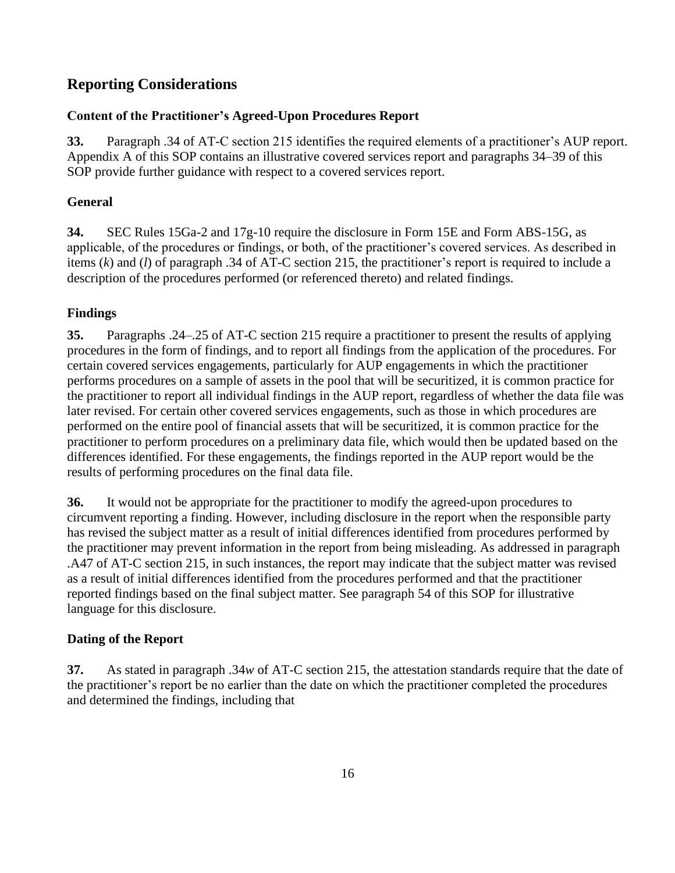# **Reporting Considerations**

## **Content of the Practitioner's Agreed-Upon Procedures Report**

**33.** Paragraph .34 of AT-C section 215 identifies the required elements of a practitioner's AUP report. Appendix A of this SOP contains an illustrative covered services report and paragraphs 34–39 of this SOP provide further guidance with respect to a covered services report.

## <span id="page-15-0"></span>**General**

**34.** SEC Rules 15Ga-2 and 17g-10 require the disclosure in Form 15E and Form ABS-15G, as applicable, of the procedures or findings, or both, of the practitioner's covered services. As described in items (*k*) and (*l*) of paragraph .34 of AT-C section 215, the practitioner's report is required to include a description of the procedures performed (or referenced thereto) and related findings.

## **Findings**

**35.** Paragraphs .24–.25 of AT-C section 215 require a practitioner to present the results of applying procedures in the form of findings, and to report all findings from the application of the procedures. For certain covered services engagements, particularly for AUP engagements in which the practitioner performs procedures on a sample of assets in the pool that will be securitized, it is common practice for the practitioner to report all individual findings in the AUP report, regardless of whether the data file was later revised. For certain other covered services engagements, such as those in which procedures are performed on the entire pool of financial assets that will be securitized, it is common practice for the practitioner to perform procedures on a preliminary data file, which would then be updated based on the differences identified. For these engagements, the findings reported in the AUP report would be the results of performing procedures on the final data file.

**36.** It would not be appropriate for the practitioner to modify the agreed-upon procedures to circumvent reporting a finding. However, including disclosure in the report when the responsible party has revised the subject matter as a result of initial differences identified from procedures performed by the practitioner may prevent information in the report from being misleading. As addressed in paragraph .A47 of AT-C section 215, in such instances, the report may indicate that the subject matter was revised as a result of initial differences identified from the procedures performed and that the practitioner reported findings based on the final subject matter. See paragraph 54 of this SOP for illustrative language for this disclosure.

## <span id="page-15-1"></span>**Dating of the Report**

**37.** As stated in paragraph .34*w* of AT-C section 215, the attestation standards require that the date of the practitioner's report be no earlier than the date on which the practitioner completed the procedures and determined the findings, including that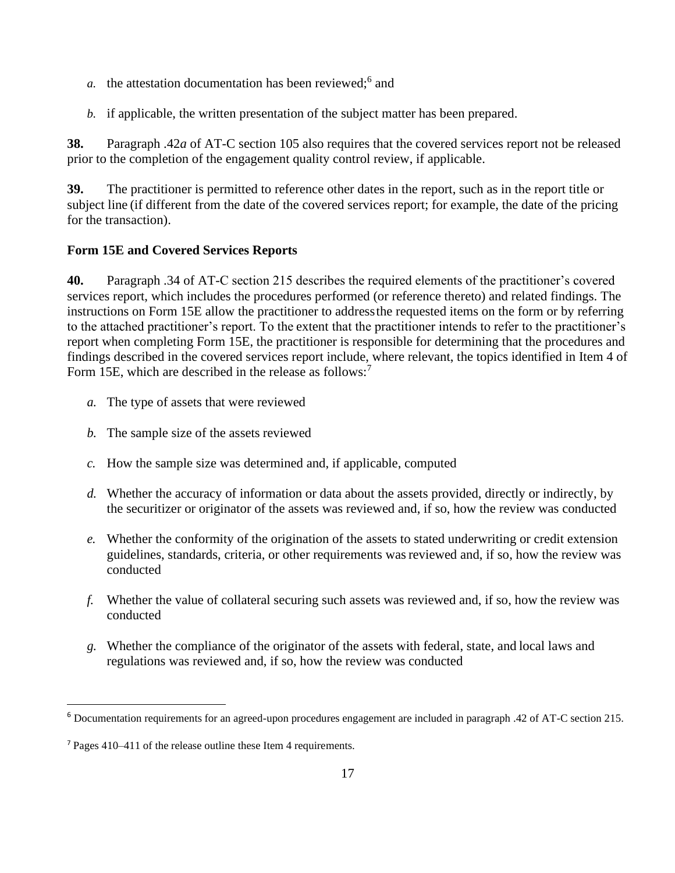- a. the attestation documentation has been reviewed;<sup>6</sup> and
- *b.* if applicable, the written presentation of the subject matter has been prepared.

**38.** Paragraph .42*a* of AT-C section 105 also requires that the covered services report not be released prior to the completion of the engagement quality control review, if applicable.

**39.** The practitioner is permitted to reference other dates in the report, such as in the report title or subject line (if different from the date of the covered services report; for example, the date of the pricing for the transaction).

## <span id="page-16-0"></span>**Form 15E and Covered Services Reports**

**40.** Paragraph .34 of AT-C section 215 describes the required elements of the practitioner's covered services report, which includes the procedures performed (or reference thereto) and related findings. The instructions on Form 15E allow the practitioner to addressthe requested items on the form or by referring to the attached practitioner's report. To the extent that the practitioner intends to refer to the practitioner's report when completing Form 15E, the practitioner is responsible for determining that the procedures and findings described in the covered services report include, where relevant, the topics identified in Item 4 of Form 15E, which are described in the release as follows:<sup>7</sup>

- *a.* The type of assets that were reviewed
- *b.* The sample size of the assets reviewed
- *c.* How the sample size was determined and, if applicable, computed
- d. Whether the accuracy of information or data about the assets provided, directly or indirectly, by the securitizer or originator of the assets was reviewed and, if so, how the review was conducted
- *e.* Whether the conformity of the origination of the assets to stated underwriting or credit extension guidelines, standards, criteria, or other requirements wasreviewed and, if so, how the review was conducted
- *f.* Whether the value of collateral securing such assets was reviewed and, if so, how the review was conducted
- *g.* Whether the compliance of the originator of the assets with federal, state, and local laws and regulations was reviewed and, if so, how the review was conducted

<sup>6</sup> Documentation requirements for an agreed-upon procedures engagement are included in paragraph .42 of AT-C section 215.

<sup>7</sup> Pages 410–411 of the release outline these Item 4 requirements.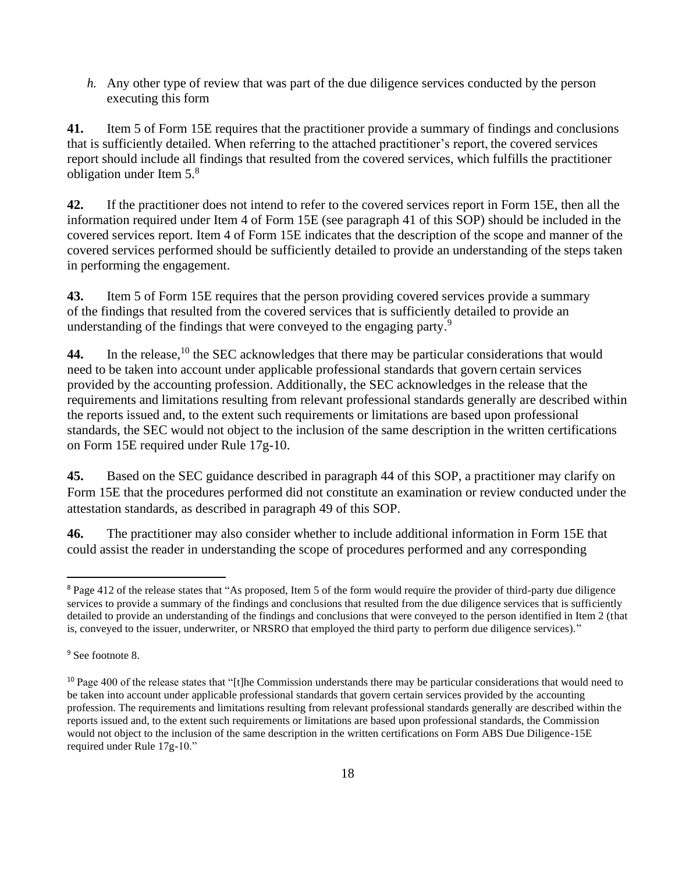*h.* Any other type of review that was part of the due diligence services conducted by the person executing this form

**41.** Item 5 of Form 15E requires that the practitioner provide a summary of findings and conclusions that is sufficiently detailed. When referring to the attached practitioner's report, the covered services report should include all findings that resulted from the covered services, which fulfills the practitioner obligation under Item 5.<sup>8</sup>

**42.** If the practitioner does not intend to refer to the covered services report in Form 15E, then all the information required under Item 4 of Form 15E (see paragraph 41 of this SOP) should be included in the covered services report. Item 4 of Form 15E indicates that the description of the scope and manner of the covered services performed should be sufficiently detailed to provide an understanding of the steps taken in performing the engagement.

**43.** Item 5 of Form 15E requires that the person providing covered services provide a summary of the findings that resulted from the covered services that is sufficiently detailed to provide an understanding of the findings that were conveyed to the engaging party.<sup>9</sup>

44. In the release,<sup>10</sup> the SEC acknowledges that there may be particular considerations that would need to be taken into account under applicable professional standards that govern certain services provided by the accounting profession. Additionally, the SEC acknowledges in the release that the requirements and limitations resulting from relevant professional standards generally are described within the reports issued and, to the extent such requirements or limitations are based upon professional standards, the SEC would not object to the inclusion of the same description in the written certifications on Form 15E required under Rule 17g-10.

**45.** Based on the SEC guidance described in paragraph 44 of this SOP, a practitioner may clarify on Form 15E that the procedures performed did not constitute an examination or review conducted under the attestation standards, as described in paragraph 49 of this SOP.

**46.** The practitioner may also consider whether to include additional information in Form 15E that could assist the reader in understanding the scope of procedures performed and any corresponding

<sup>&</sup>lt;sup>8</sup> Page 412 of the release states that "As proposed, Item 5 of the form would require the provider of third-party due diligence services to provide a summary of the findings and conclusions that resulted from the due diligence services that is sufficiently detailed to provide an understanding of the findings and conclusions that were conveyed to the person identified in Item 2 (that is, conveyed to the issuer, underwriter, or NRSRO that employed the third party to perform due diligence services)."

<sup>9</sup> See footnote 8.

<sup>&</sup>lt;sup>10</sup> Page 400 of the release states that "[t]he Commission understands there may be particular considerations that would need to be taken into account under applicable professional standards that govern certain services provided by the accounting profession. The requirements and limitations resulting from relevant professional standards generally are described within the reports issued and, to the extent such requirements or limitations are based upon professional standards, the Commission would not object to the inclusion of the same description in the written certifications on Form ABS Due Diligence-15E required under Rule 17g-10."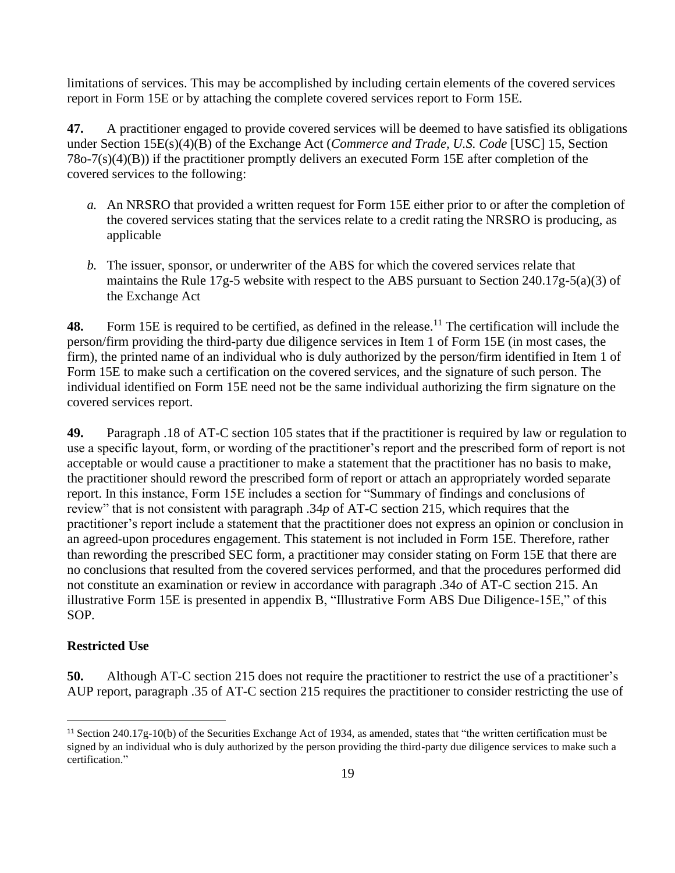limitations of services. This may be accomplished by including certain elements of the covered services report in Form 15E or by attaching the complete covered services report to Form 15E.

**47.** A practitioner engaged to provide covered services will be deemed to have satisfied its obligations under Section 15E(s)(4)(B) of the Exchange Act (*Commerce and Trade, U.S. Code* [USC] 15, Section 78o-7(s)(4)(B)) if the practitioner promptly delivers an executed Form 15E after completion of the covered services to the following:

- *a.* An NRSRO that provided a written request for Form 15E either prior to or after the completion of the covered services stating that the services relate to a credit rating the NRSRO is producing, as applicable
- *b.* The issuer, sponsor, or underwriter of the ABS for which the covered services relate that maintains the Rule 17g-5 website with respect to the ABS pursuant to Section 240.17g-5(a)(3) of the Exchange Act

**48.** Form 15E is required to be certified, as defined in the release.<sup>11</sup> The certification will include the person/firm providing the third-party due diligence services in Item 1 of Form 15E (in most cases, the firm), the printed name of an individual who is duly authorized by the person/firm identified in Item 1 of Form 15E to make such a certification on the covered services, and the signature of such person. The individual identified on Form 15E need not be the same individual authorizing the firm signature on the covered services report.

**49.** Paragraph .18 of AT-C section 105 states that if the practitioner is required by law or regulation to use a specific layout, form, or wording of the practitioner's report and the prescribed form of report is not acceptable or would cause a practitioner to make a statement that the practitioner has no basis to make, the practitioner should reword the prescribed form of report or attach an appropriately worded separate report. In this instance, Form 15E includes a section for "Summary of findings and conclusions of review" that is not consistent with paragraph .34*p* of AT-C section 215, which requires that the practitioner's report include a statement that the practitioner does not express an opinion or conclusion in an agreed-upon procedures engagement. This statement is not included in Form 15E. Therefore, rather than rewording the prescribed SEC form, a practitioner may consider stating on Form 15E that there are no conclusions that resulted from the covered services performed, and that the procedures performed did not constitute an examination or review in accordance with paragraph .34*o* of AT-C section 215. An illustrative Form 15E is presented in appendix B, "Illustrative Form ABS Due Diligence-15E," of this SOP.

#### <span id="page-18-0"></span>**Restricted Use**

**50.** Although AT-C section 215 does not require the practitioner to restrict the use of a practitioner's AUP report, paragraph .35 of AT-C section 215 requires the practitioner to consider restricting the use of

<sup>11</sup> Section 240.17g-10(b) of the Securities Exchange Act of 1934, as amended, states that "the written certification must be signed by an individual who is duly authorized by the person providing the third-party due diligence services to make such a certification."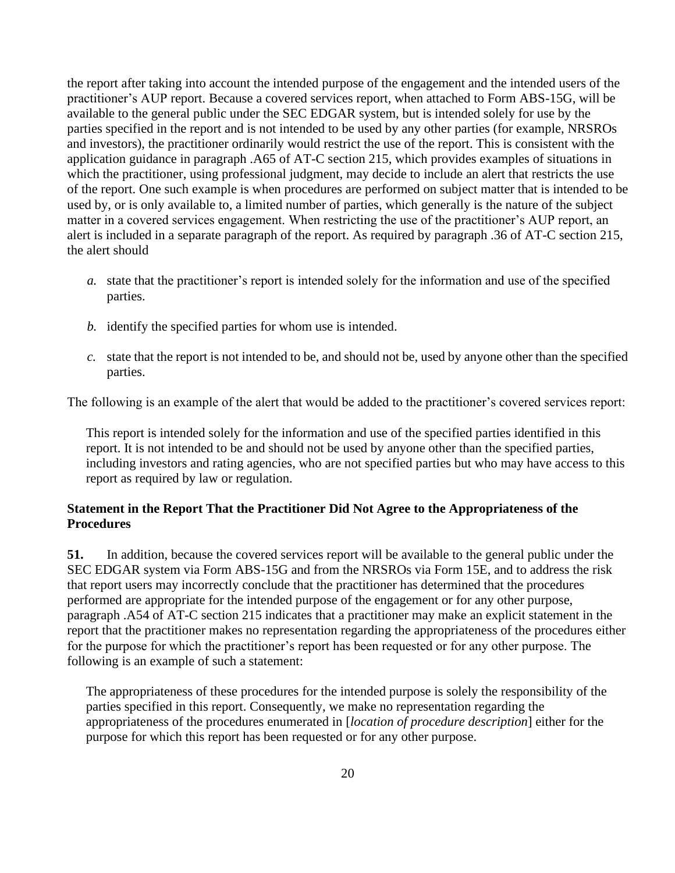the report after taking into account the intended purpose of the engagement and the intended users of the practitioner's AUP report. Because a covered services report, when attached to Form ABS-15G, will be available to the general public under the SEC EDGAR system, but is intended solely for use by the parties specified in the report and is not intended to be used by any other parties (for example, NRSROs and investors), the practitioner ordinarily would restrict the use of the report. This is consistent with the application guidance in paragraph .A65 of AT-C section 215, which provides examples of situations in which the practitioner, using professional judgment, may decide to include an alert that restricts the use of the report. One such example is when procedures are performed on subject matter that is intended to be used by, or is only available to, a limited number of parties, which generally is the nature of the subject matter in a covered services engagement. When restricting the use of the practitioner's AUP report, an alert is included in a separate paragraph of the report. As required by paragraph .36 of AT-C section 215, the alert should

- *a.* state that the practitioner's report is intended solely for the information and use of the specified parties.
- *b.* identify the specified parties for whom use is intended.
- *c.* state that the report is not intended to be, and should not be, used by anyone other than the specified parties.

The following is an example of the alert that would be added to the practitioner's covered services report:

This report is intended solely for the information and use of the specified parties identified in this report. It is not intended to be and should not be used by anyone other than the specified parties, including investors and rating agencies, who are not specified parties but who may have access to this report as required by law or regulation.

### **Statement in the Report That the Practitioner Did Not Agree to the Appropriateness of the Procedures**

**51.** In addition, because the covered services report will be available to the general public under the SEC EDGAR system via Form ABS-15G and from the NRSROs via Form 15E, and to address the risk that report users may incorrectly conclude that the practitioner has determined that the procedures performed are appropriate for the intended purpose of the engagement or for any other purpose, paragraph .A54 of AT-C section 215 indicates that a practitioner may make an explicit statement in the report that the practitioner makes no representation regarding the appropriateness of the procedures either for the purpose for which the practitioner's report has been requested or for any other purpose. The following is an example of such a statement:

The appropriateness of these procedures for the intended purpose is solely the responsibility of the parties specified in this report. Consequently, we make no representation regarding the appropriateness of the procedures enumerated in [*location of procedure description*] either for the purpose for which this report has been requested or for any other purpose.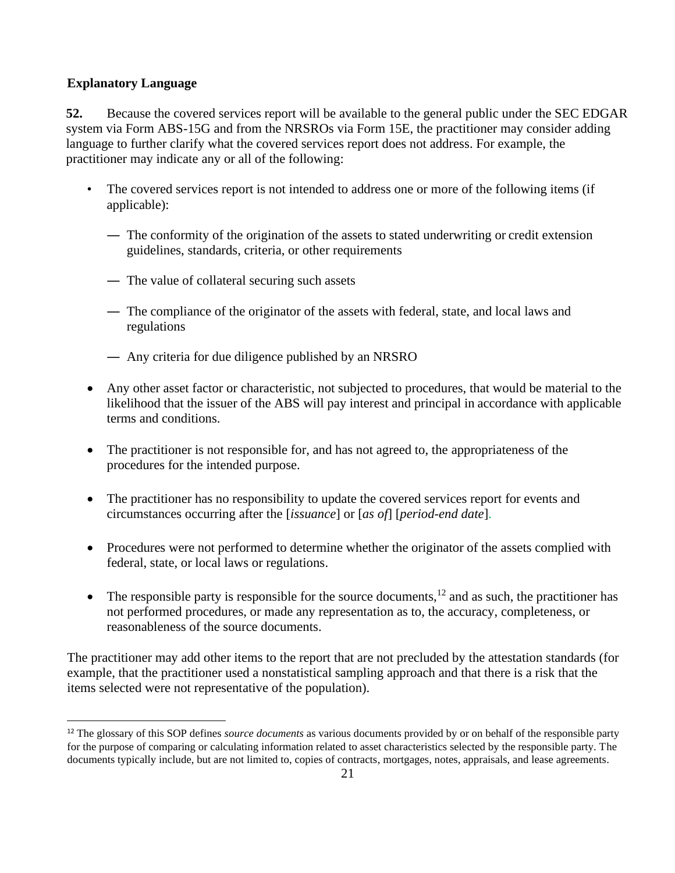### <span id="page-20-0"></span>**Explanatory Language**

**52.** Because the covered services report will be available to the general public under the SEC EDGAR system via Form ABS-15G and from the NRSROs via Form 15E, the practitioner may consider adding language to further clarify what the covered services report does not address. For example, the practitioner may indicate any or all of the following:

- The covered services report is not intended to address one or more of the following items (if applicable):
	- ― The conformity of the origination of the assets to stated underwriting or credit extension guidelines, standards, criteria, or other requirements
	- ― The value of collateral securing such assets
	- ― The compliance of the originator of the assets with federal, state, and local laws and regulations
	- ― Any criteria for due diligence published by an NRSRO
- Any other asset factor or characteristic, not subjected to procedures, that would be material to the likelihood that the issuer of the ABS will pay interest and principal in accordance with applicable terms and conditions.
- The practitioner is not responsible for, and has not agreed to, the appropriateness of the procedures for the intended purpose.
- The practitioner has no responsibility to update the covered services report for events and circumstances occurring after the [*issuance*] or [*as of*] [*period-end date*].
- Procedures were not performed to determine whether the originator of the assets complied with federal, state, or local laws or regulations.
- The responsible party is responsible for the source documents,  $^{12}$  and as such, the practitioner has not performed procedures, or made any representation as to, the accuracy, completeness, or reasonableness of the source documents.

The practitioner may add other items to the report that are not precluded by the attestation standards (for example, that the practitioner used a nonstatistical sampling approach and that there is a risk that the items selected were not representative of the population).

<sup>&</sup>lt;sup>12</sup> The glossary of this SOP defines *source documents* as various documents provided by or on behalf of the responsible party for the purpose of comparing or calculating information related to asset characteristics selected by the responsible party. The documents typically include, but are not limited to, copies of contracts, mortgages, notes, appraisals, and lease agreements.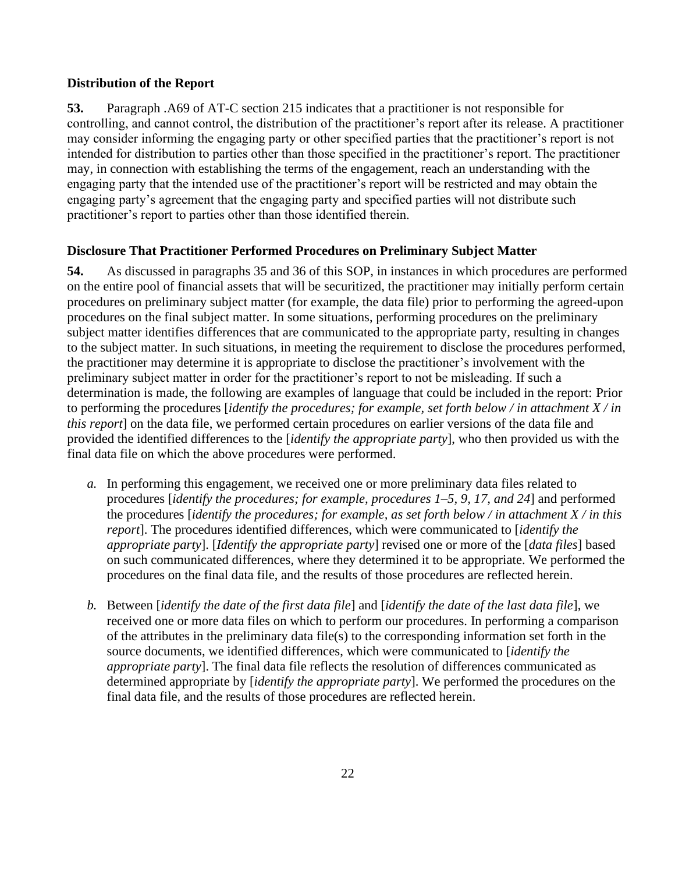#### **Distribution of the Report**

**53.** Paragraph .A69 of AT-C section 215 indicates that a practitioner is not responsible for controlling, and cannot control, the distribution of the practitioner's report after its release. A practitioner may consider informing the engaging party or other specified parties that the practitioner's report is not intended for distribution to parties other than those specified in the practitioner's report. The practitioner may, in connection with establishing the terms of the engagement, reach an understanding with the engaging party that the intended use of the practitioner's report will be restricted and may obtain the engaging party's agreement that the engaging party and specified parties will not distribute such practitioner's report to parties other than those identified therein.

#### **Disclosure That Practitioner Performed Procedures on Preliminary Subject Matter**

**54.** As discussed in paragraphs 35 and 36 of this SOP, in instances in which procedures are performed on the entire pool of financial assets that will be securitized, the practitioner may initially perform certain procedures on preliminary subject matter (for example, the data file) prior to performing the agreed-upon procedures on the final subject matter. In some situations, performing procedures on the preliminary subject matter identifies differences that are communicated to the appropriate party, resulting in changes to the subject matter. In such situations, in meeting the requirement to disclose the procedures performed, the practitioner may determine it is appropriate to disclose the practitioner's involvement with the preliminary subject matter in order for the practitioner's report to not be misleading. If such a determination is made, the following are examples of language that could be included in the report: Prior to performing the procedures [*identify the procedures; for example, set forth below / in attachment X / in this report*] on the data file, we performed certain procedures on earlier versions of the data file and provided the identified differences to the [*identify the appropriate party*], who then provided us with the final data file on which the above procedures were performed.

- *a.* In performing this engagement, we received one or more preliminary data files related to procedures [*identify the procedures; for example, procedures 1–5, 9, 17, and 24*] and performed the procedures [*identify the procedures; for example, as set forth below / in attachment X / in this report*]. The procedures identified differences, which were communicated to [*identify the appropriate party*]. [*Identify the appropriate party*] revised one or more of the [*data files*] based on such communicated differences, where they determined it to be appropriate. We performed the procedures on the final data file, and the results of those procedures are reflected herein.
- *b.* Between [*identify the date of the first data file*] and [*identify the date of the last data file*], we received one or more data files on which to perform our procedures. In performing a comparison of the attributes in the preliminary data file(s) to the corresponding information set forth in the source documents, we identified differences, which were communicated to [*identify the appropriate party*]. The final data file reflects the resolution of differences communicated as determined appropriate by [*identify the appropriate party*]. We performed the procedures on the final data file, and the results of those procedures are reflected herein.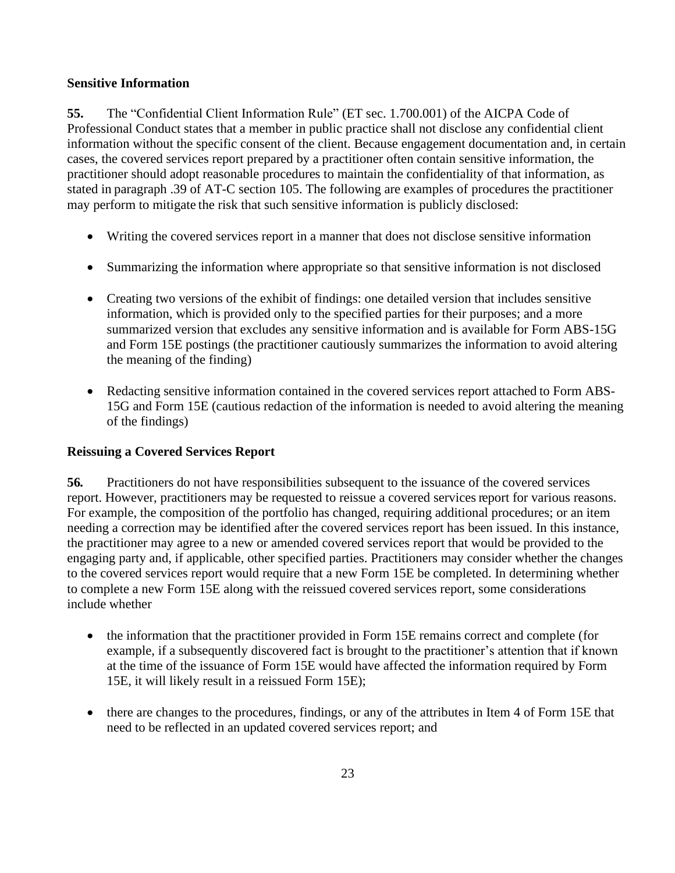#### <span id="page-22-0"></span>**Sensitive Information**

**55.** The "Confidential Client Information Rule" (ET sec. 1.700.001) of the AICPA Code of Professional Conduct states that a member in public practice shall not disclose any confidential client information without the specific consent of the client. Because engagement documentation and, in certain cases, the covered services report prepared by a practitioner often contain sensitive information, the practitioner should adopt reasonable procedures to maintain the confidentiality of that information, as stated in paragraph .39 of AT-C section 105. The following are examples of procedures the practitioner may perform to mitigate the risk that such sensitive information is publicly disclosed:

- Writing the covered services report in a manner that does not disclose sensitive information
- Summarizing the information where appropriate so that sensitive information is not disclosed
- Creating two versions of the exhibit of findings: one detailed version that includes sensitive information, which is provided only to the specified parties for their purposes; and a more summarized version that excludes any sensitive information and is available for Form ABS-15G and Form 15E postings (the practitioner cautiously summarizes the information to avoid altering the meaning of the finding)
- Redacting sensitive information contained in the covered services report attached to Form ABS-15G and Form 15E (cautious redaction of the information is needed to avoid altering the meaning of the findings)

#### <span id="page-22-1"></span>**Reissuing a Covered Services Report**

**56***.* Practitioners do not have responsibilities subsequent to the issuance of the covered services report. However, practitioners may be requested to reissue a covered services report for various reasons. For example, the composition of the portfolio has changed, requiring additional procedures; or an item needing a correction may be identified after the covered services report has been issued. In this instance, the practitioner may agree to a new or amended covered services report that would be provided to the engaging party and, if applicable, other specified parties. Practitioners may consider whether the changes to the covered services report would require that a new Form 15E be completed. In determining whether to complete a new Form 15E along with the reissued covered services report, some considerations include whether

- the information that the practitioner provided in Form 15E remains correct and complete (for example, if a subsequently discovered fact is brought to the practitioner's attention that if known at the time of the issuance of Form 15E would have affected the information required by Form 15E, it will likely result in a reissued Form 15E);
- there are changes to the procedures, findings, or any of the attributes in Item 4 of Form 15E that need to be reflected in an updated covered services report; and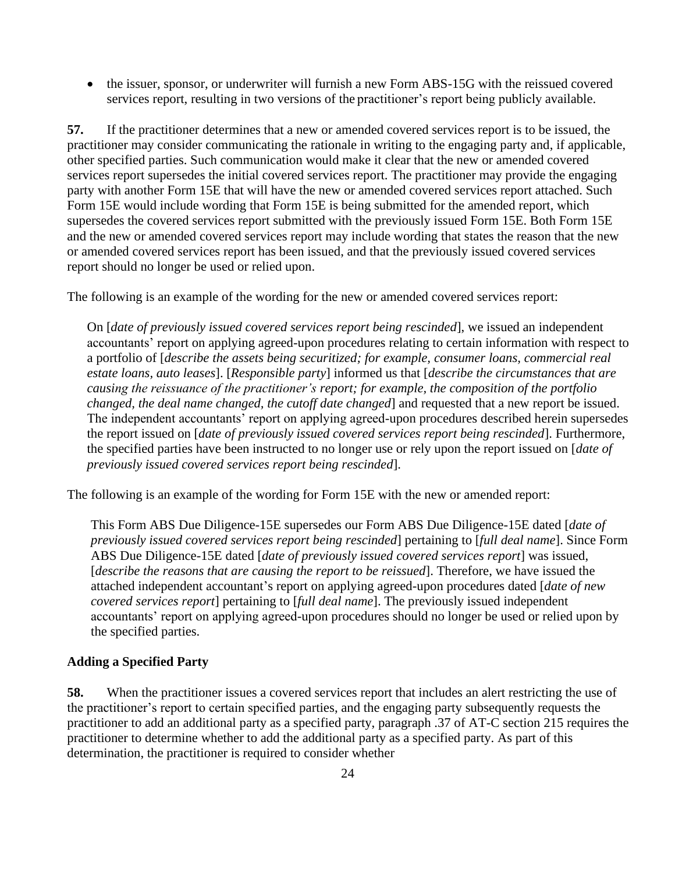• the issuer, sponsor, or underwriter will furnish a new Form ABS-15G with the reissued covered services report, resulting in two versions of the practitioner's report being publicly available.

**57.** If the practitioner determines that a new or amended covered services report is to be issued, the practitioner may consider communicating the rationale in writing to the engaging party and, if applicable, other specified parties. Such communication would make it clear that the new or amended covered services report supersedes the initial covered services report. The practitioner may provide the engaging party with another Form 15E that will have the new or amended covered services report attached. Such Form 15E would include wording that Form 15E is being submitted for the amended report, which supersedes the covered services report submitted with the previously issued Form 15E. Both Form 15E and the new or amended covered services report may include wording that states the reason that the new or amended covered services report has been issued, and that the previously issued covered services report should no longer be used or relied upon.

The following is an example of the wording for the new or amended covered services report:

On [*date of previously issued covered services report being rescinded*], we issued an independent accountants' report on applying agreed-upon procedures relating to certain information with respect to a portfolio of [*describe the assets being securitized; for example, consumer loans, commercial real estate loans, auto leases*]. [*Responsible party*] informed us that [*describe the circumstances that are causing the reissuance of the practitioner's report; for example, the composition of the portfolio changed, the deal name changed, the cutoff date changed*] and requested that a new report be issued. The independent accountants' report on applying agreed-upon procedures described herein supersedes the report issued on [*date of previously issued covered services report being rescinded*]. Furthermore, the specified parties have been instructed to no longer use or rely upon the report issued on [*date of previously issued covered services report being rescinded*].

The following is an example of the wording for Form 15E with the new or amended report:

This Form ABS Due Diligence-15E supersedes our Form ABS Due Diligence-15E dated [*date of previously issued covered services report being rescinded*] pertaining to [*full deal name*]. Since Form ABS Due Diligence-15E dated [*date of previously issued covered services report*] was issued, [*describe the reasons that are causing the report to be reissued*]. Therefore, we have issued the attached independent accountant's report on applying agreed-upon procedures dated [*date of new covered services report*] pertaining to [*full deal name*]. The previously issued independent accountants' report on applying agreed-upon procedures should no longer be used or relied upon by the specified parties.

#### **Adding a Specified Party**

**58.** When the practitioner issues a covered services report that includes an alert restricting the use of the practitioner's report to certain specified parties, and the engaging party subsequently requests the practitioner to add an additional party as a specified party, paragraph .37 of AT-C section 215 requires the practitioner to determine whether to add the additional party as a specified party. As part of this determination, the practitioner is required to consider whether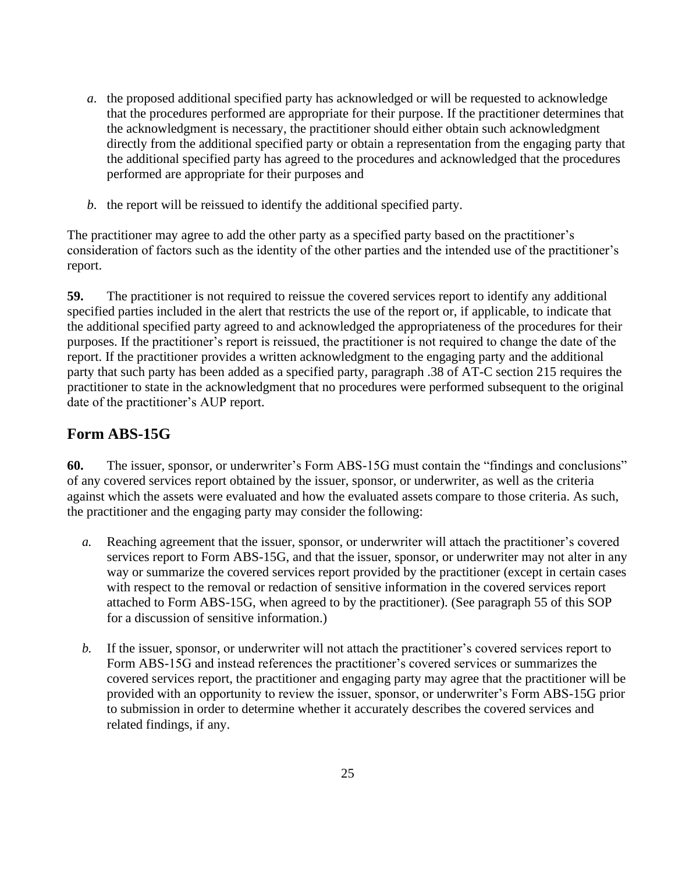- *a*. the proposed additional specified party has acknowledged or will be requested to acknowledge that the procedures performed are appropriate for their purpose. If the practitioner determines that the acknowledgment is necessary, the practitioner should either obtain such acknowledgment directly from the additional specified party or obtain a representation from the engaging party that the additional specified party has agreed to the procedures and acknowledged that the procedures performed are appropriate for their purposes and
- *b*. the report will be reissued to identify the additional specified party.

The practitioner may agree to add the other party as a specified party based on the practitioner's consideration of factors such as the identity of the other parties and the intended use of the practitioner's report.

**59.** The practitioner is not required to reissue the covered services report to identify any additional specified parties included in the alert that restricts the use of the report or, if applicable, to indicate that the additional specified party agreed to and acknowledged the appropriateness of the procedures for their purposes. If the practitioner's report is reissued, the practitioner is not required to change the date of the report. If the practitioner provides a written acknowledgment to the engaging party and the additional party that such party has been added as a specified party, paragraph .38 of AT-C section 215 requires the practitioner to state in the acknowledgment that no procedures were performed subsequent to the original date of the practitioner's AUP report.

## <span id="page-24-0"></span>**Form ABS-15G**

**60.** The issuer, sponsor, or underwriter's Form ABS-15G must contain the "findings and conclusions" of any covered services report obtained by the issuer, sponsor, or underwriter, as well as the criteria against which the assets were evaluated and how the evaluated assets compare to those criteria. As such, the practitioner and the engaging party may consider the following:

- *a.* Reaching agreement that the issuer, sponsor, or underwriter will attach the practitioner's covered services report to Form ABS-15G, and that the issuer, sponsor, or underwriter may not alter in any way or summarize the covered services report provided by the practitioner (except in certain cases with respect to the removal or redaction of sensitive information in the covered services report attached to Form ABS-15G, when agreed to by the practitioner). (See paragraph 55 of this SOP for a discussion of sensitive information.)
- *b.* If the issuer, sponsor, or underwriter will not attach the practitioner's covered services report to Form ABS-15G and instead references the practitioner's covered services or summarizes the covered services report, the practitioner and engaging party may agree that the practitioner will be provided with an opportunity to review the issuer, sponsor, or underwriter's Form ABS-15G prior to submission in order to determine whether it accurately describes the covered services and related findings, if any.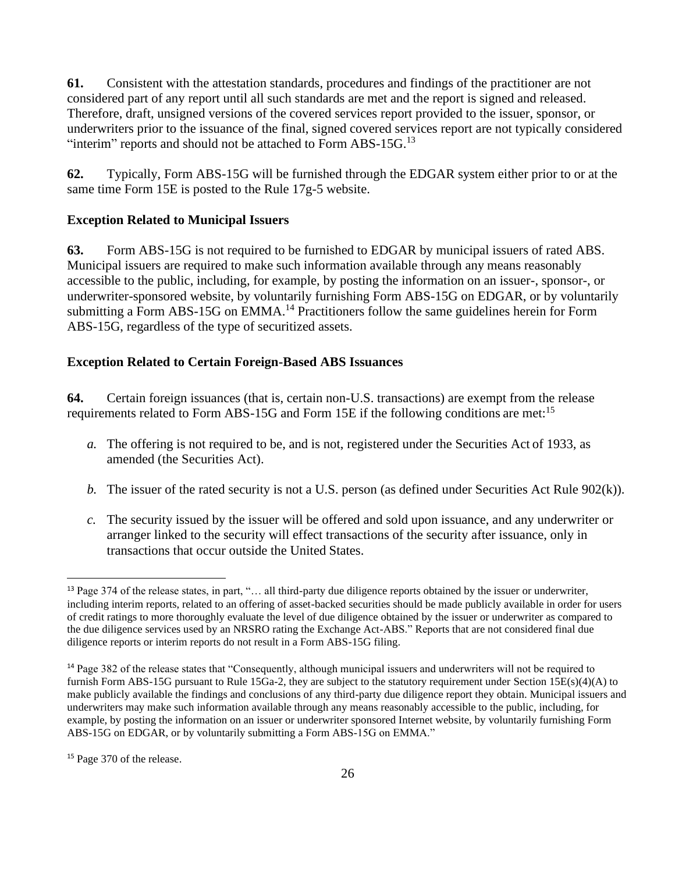**61.** Consistent with the attestation standards, procedures and findings of the practitioner are not considered part of any report until all such standards are met and the report is signed and released. Therefore, draft, unsigned versions of the covered services report provided to the issuer, sponsor, or underwriters prior to the issuance of the final, signed covered services report are not typically considered "interim" reports and should not be attached to Form  $\text{ABS-15G}$ .<sup>13</sup>

**62.** Typically, Form ABS-15G will be furnished through the EDGAR system either prior to or at the same time Form 15E is posted to the Rule 17g-5 website.

### <span id="page-25-0"></span>**Exception Related to Municipal Issuers**

**63.** Form ABS-15G is not required to be furnished to EDGAR by municipal issuers of rated ABS. Municipal issuers are required to make such information available through any means reasonably accessible to the public, including, for example, by posting the information on an issuer-, sponsor-, or underwriter-sponsored website, by voluntarily furnishing Form ABS-15G on EDGAR, or by voluntarily submitting a Form ABS-15G on EMMA.<sup>14</sup> Practitioners follow the same guidelines herein for Form ABS-15G, regardless of the type of securitized assets.

### <span id="page-25-1"></span>**Exception Related to Certain Foreign-Based ABS Issuances**

**64.** Certain foreign issuances (that is, certain non-U.S. transactions) are exempt from the release requirements related to Form ABS-15G and Form 15E if the following conditions are met:<sup>15</sup>

- *a.* The offering is not required to be, and is not, registered under the Securities Act of 1933, as amended (the Securities Act).
- *b.* The issuer of the rated security is not a U.S. person (as defined under Securities Act Rule 902(k)).
- *c.* The security issued by the issuer will be offered and sold upon issuance, and any underwriter or arranger linked to the security will effect transactions of the security after issuance, only in transactions that occur outside the United States.

<sup>15</sup> Page 370 of the release.

 $13$  Page 374 of the release states, in part, "... all third-party due diligence reports obtained by the issuer or underwriter, including interim reports, related to an offering of asset-backed securities should be made publicly available in order for users of credit ratings to more thoroughly evaluate the level of due diligence obtained by the issuer or underwriter as compared to the due diligence services used by an NRSRO rating the Exchange Act-ABS." Reports that are not considered final due diligence reports or interim reports do not result in a Form ABS-15G filing.

 $14$  Page 382 of the release states that "Consequently, although municipal issuers and underwriters will not be required to furnish Form ABS-15G pursuant to Rule 15Ga-2, they are subject to the statutory requirement under Section 15E(s)(4)(A) to make publicly available the findings and conclusions of any third-party due diligence report they obtain. Municipal issuers and underwriters may make such information available through any means reasonably accessible to the public, including, for example, by posting the information on an issuer or underwriter sponsored Internet website, by voluntarily furnishing Form ABS-15G on EDGAR, or by voluntarily submitting a Form ABS-15G on EMMA."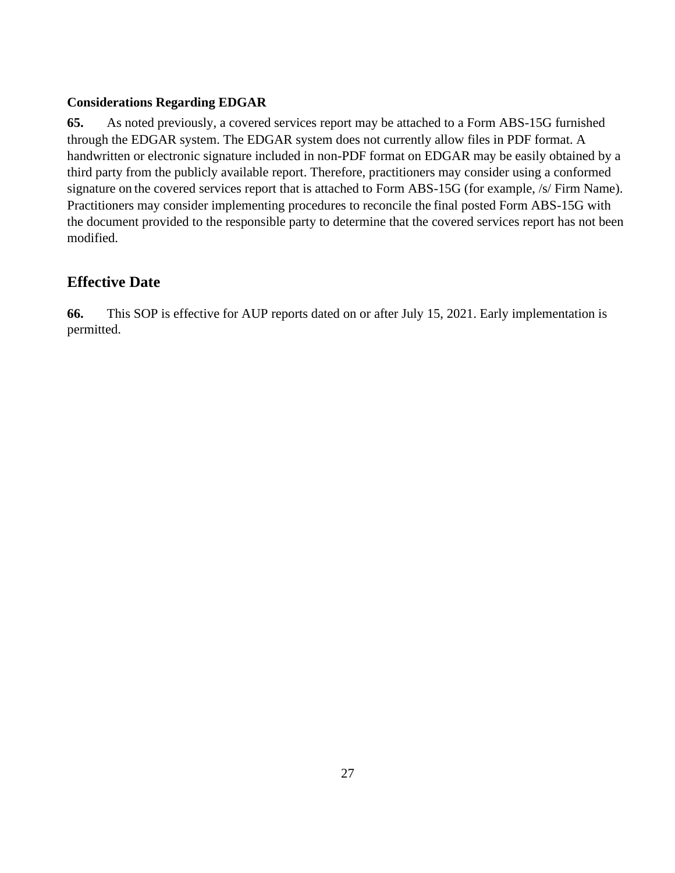### <span id="page-26-0"></span>**Considerations Regarding EDGAR**

**65.** As noted previously, a covered services report may be attached to a Form ABS-15G furnished through the EDGAR system. The EDGAR system does not currently allow files in PDF format. A handwritten or electronic signature included in non-PDF format on EDGAR may be easily obtained by a third party from the publicly available report. Therefore, practitioners may consider using a conformed signature on the covered services report that is attached to Form ABS-15G (for example, /s/ Firm Name). Practitioners may consider implementing procedures to reconcile the final posted Form ABS-15G with the document provided to the responsible party to determine that the covered services report has not been modified.

## <span id="page-26-1"></span>**Effective Date**

**66.** This SOP is effective for AUP reports dated on or after July 15, 2021. Early implementation is permitted.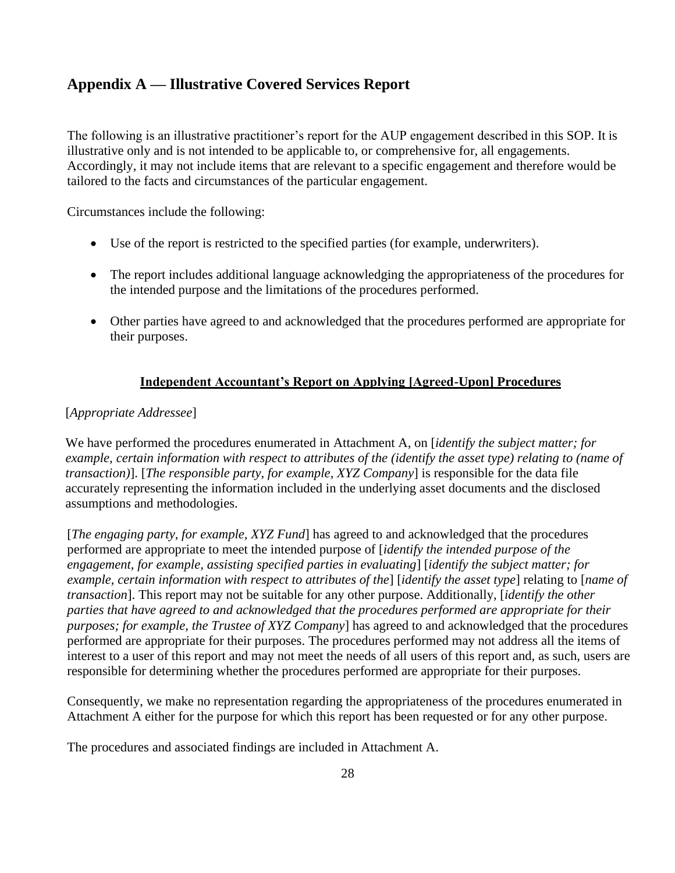# **Appendix A — Illustrative Covered Services Report**

The following is an illustrative practitioner's report for the AUP engagement described in this SOP. It is illustrative only and is not intended to be applicable to, or comprehensive for, all engagements. Accordingly, it may not include items that are relevant to a specific engagement and therefore would be tailored to the facts and circumstances of the particular engagement.

Circumstances include the following:

- Use of the report is restricted to the specified parties (for example, underwriters).
- The report includes additional language acknowledging the appropriateness of the procedures for the intended purpose and the limitations of the procedures performed.
- Other parties have agreed to and acknowledged that the procedures performed are appropriate for their purposes.

#### **Independent Accountant's Report on Applying [Agreed-Upon] Procedures**

#### [*Appropriate Addressee*]

We have performed the procedures enumerated in Attachment A, on [*identify the subject matter; for example, certain information with respect to attributes of the (identify the asset type) relating to (name of transaction)*]. [*The responsible party, for example, XYZ Company*] is responsible for the data file accurately representing the information included in the underlying asset documents and the disclosed assumptions and methodologies.

[*The engaging party, for example, XYZ Fund*] has agreed to and acknowledged that the procedures performed are appropriate to meet the intended purpose of [*identify the intended purpose of the engagement, for example, assisting specified parties in evaluating*] [*identify the subject matter; for example, certain information with respect to attributes of the*] [*identify the asset type*] relating to [*name of transaction*]. This report may not be suitable for any other purpose. Additionally, [*identify the other parties that have agreed to and acknowledged that the procedures performed are appropriate for their purposes; for example, the Trustee of XYZ Company*] has agreed to and acknowledged that the procedures performed are appropriate for their purposes. The procedures performed may not address all the items of interest to a user of this report and may not meet the needs of all users of this report and, as such, users are responsible for determining whether the procedures performed are appropriate for their purposes.

Consequently, we make no representation regarding the appropriateness of the procedures enumerated in Attachment A either for the purpose for which this report has been requested or for any other purpose.

The procedures and associated findings are included in Attachment A.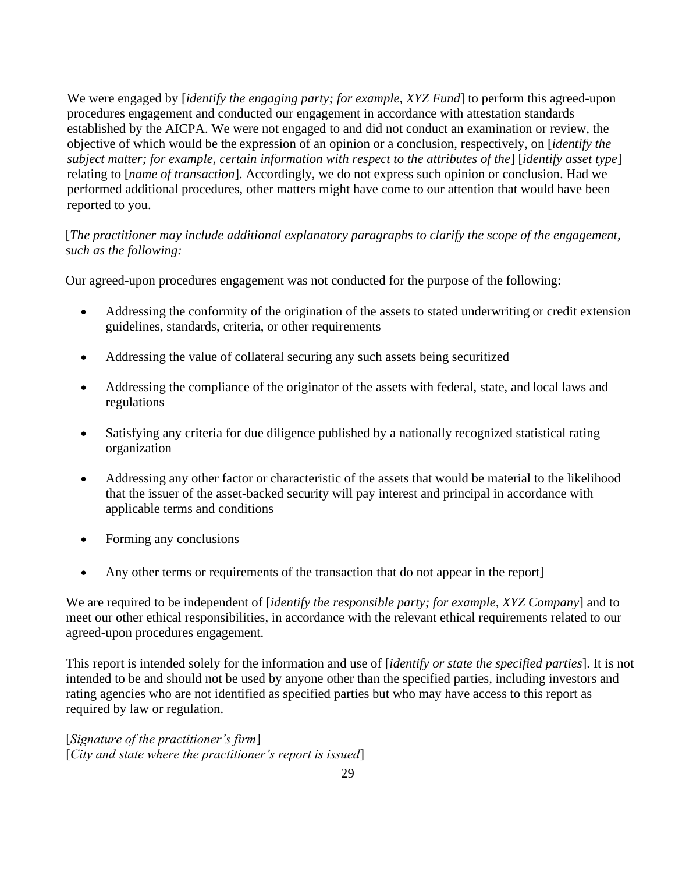We were engaged by [*identify the engaging party; for example, XYZ Fund*] to perform this agreed-upon procedures engagement and conducted our engagement in accordance with attestation standards established by the AICPA. We were not engaged to and did not conduct an examination or review, the objective of which would be the expression of an opinion or a conclusion, respectively, on [*identify the subject matter; for example, certain information with respect to the attributes of the*] [*identify asset type*] relating to [*name of transaction*]. Accordingly, we do not express such opinion or conclusion. Had we performed additional procedures, other matters might have come to our attention that would have been reported to you.

### [*The practitioner may include additional explanatory paragraphs to clarify the scope of the engagement, such as the following:*

Our agreed-upon procedures engagement was not conducted for the purpose of the following:

- Addressing the conformity of the origination of the assets to stated underwriting or credit extension guidelines, standards, criteria, or other requirements
- Addressing the value of collateral securing any such assets being securitized
- Addressing the compliance of the originator of the assets with federal, state, and local laws and regulations
- Satisfying any criteria for due diligence published by a nationally recognized statistical rating organization
- Addressing any other factor or characteristic of the assets that would be material to the likelihood that the issuer of the asset-backed security will pay interest and principal in accordance with applicable terms and conditions
- Forming any conclusions
- Any other terms or requirements of the transaction that do not appear in the report]

We are required to be independent of [*identify the responsible party; for example, XYZ Company*] and to meet our other ethical responsibilities, in accordance with the relevant ethical requirements related to our agreed-upon procedures engagement.

This report is intended solely for the information and use of [*identify or state the specified parties*]. It is not intended to be and should not be used by anyone other than the specified parties, including investors and rating agencies who are not identified as specified parties but who may have access to this report as required by law or regulation.

[*Signature of the practitioner's firm*] [*City and state where the practitioner's report is issued*]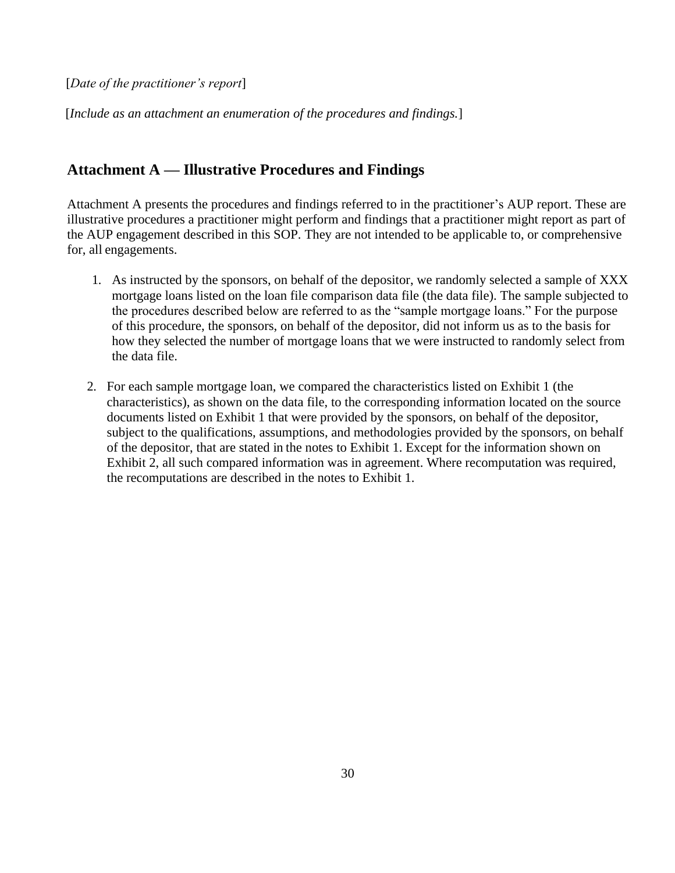[*Date of the practitioner's report*]

[*Include as an attachment an enumeration of the procedures and findings.*]

## **Attachment A — Illustrative Procedures and Findings**

Attachment A presents the procedures and findings referred to in the practitioner's AUP report. These are illustrative procedures a practitioner might perform and findings that a practitioner might report as part of the AUP engagement described in this SOP. They are not intended to be applicable to, or comprehensive for, all engagements.

- 1. As instructed by the sponsors, on behalf of the depositor, we randomly selected a sample of XXX mortgage loans listed on the loan file comparison data file (the data file). The sample subjected to the procedures described below are referred to as the "sample mortgage loans." For the purpose of this procedure, the sponsors, on behalf of the depositor, did not inform us as to the basis for how they selected the number of mortgage loans that we were instructed to randomly select from the data file.
- 2. For each sample mortgage loan, we compared the characteristics listed on Exhibit 1 (the characteristics), as shown on the data file, to the corresponding information located on the source documents listed on Exhibit 1 that were provided by the sponsors, on behalf of the depositor, subject to the qualifications, assumptions, and methodologies provided by the sponsors, on behalf of the depositor, that are stated in the notes to Exhibit 1. Except for the information shown on Exhibit 2, all such compared information was in agreement. Where recomputation was required, the recomputations are described in the notes to Exhibit 1.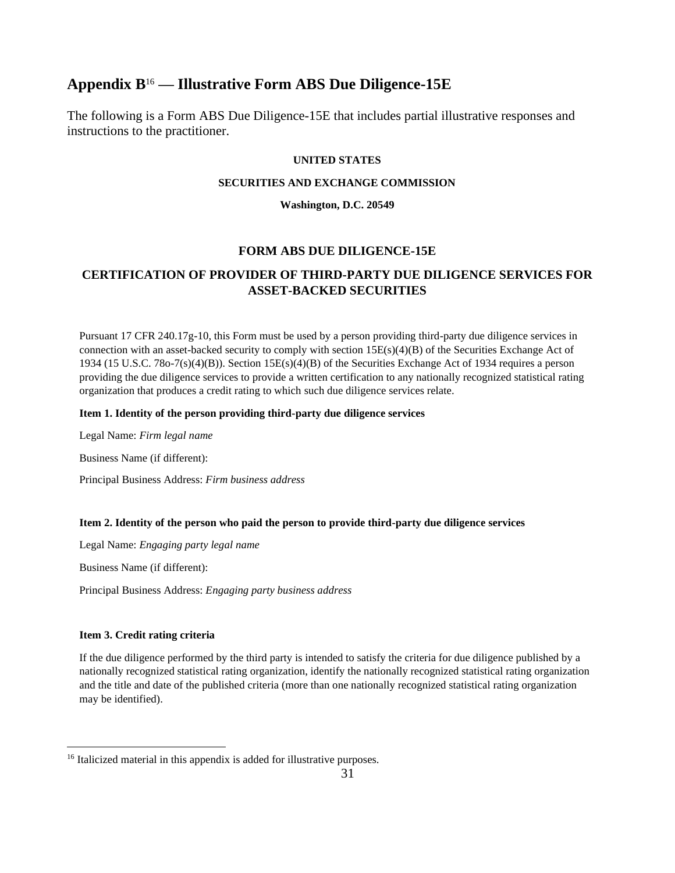## **Appendix B**<sup>16</sup> **— Illustrative Form ABS Due Diligence-15E**

The following is a Form ABS Due Diligence-15E that includes partial illustrative responses and instructions to the practitioner.

#### **UNITED STATES**

#### **SECURITIES AND EXCHANGE COMMISSION**

**Washington, D.C. 20549**

#### **FORM ABS DUE DILIGENCE-15E**

## **CERTIFICATION OF PROVIDER OF THIRD-PARTY DUE DILIGENCE SERVICES FOR ASSET-BACKED SECURITIES**

Pursuant 17 CFR 240.17g-10, this Form must be used by a person providing third-party due diligence services in connection with an asset-backed security to comply with section  $15E(s)(4)(B)$  of the Securities Exchange Act of 1934 (15 U.S.C. 78o-7(s)(4)(B)). Section 15E(s)(4)(B) of the Securities Exchange Act of 1934 requires a person providing the due diligence services to provide a written certification to any nationally recognized statistical rating organization that produces a credit rating to which such due diligence services relate.

#### **Item 1. Identity of the person providing third-party due diligence services**

Legal Name: *Firm legal name* Business Name (if different): Principal Business Address: *Firm business address*

**Item 2. Identity of the person who paid the person to provide third-party due diligence services**

Legal Name: *Engaging party legal name*

Business Name (if different):

Principal Business Address: *Engaging party business address*

#### **Item 3. Credit rating criteria**

If the due diligence performed by the third party is intended to satisfy the criteria for due diligence published by a nationally recognized statistical rating organization, identify the nationally recognized statistical rating organization and the title and date of the published criteria (more than one nationally recognized statistical rating organization may be identified).

<sup>&</sup>lt;sup>16</sup> Italicized material in this appendix is added for illustrative purposes.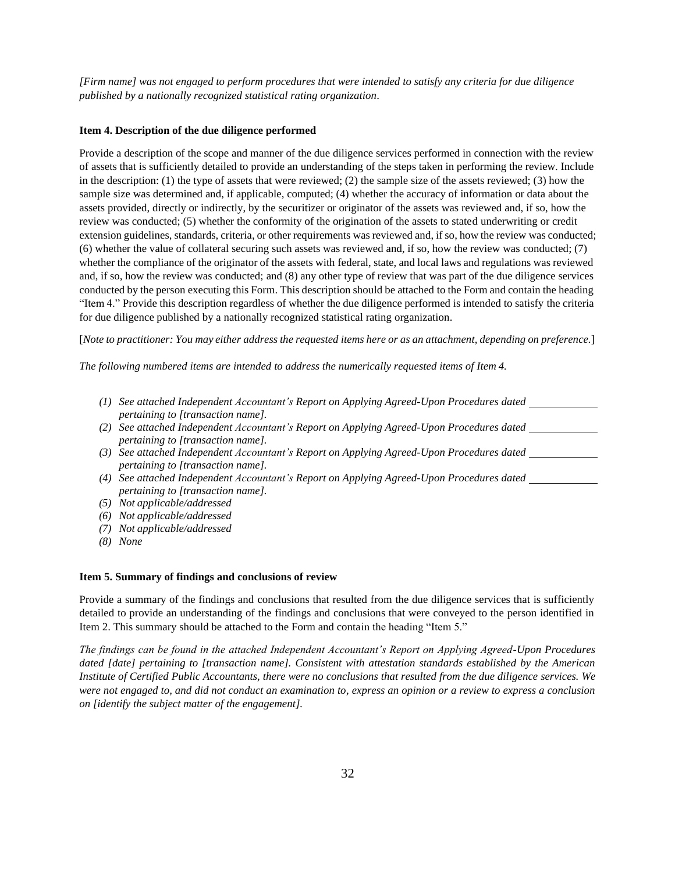*[Firm name] was not engaged to perform procedures that were intended to satisfy any criteria for due diligence published by a nationally recognized statistical rating organization*.

#### **Item 4. Description of the due diligence performed**

Provide a description of the scope and manner of the due diligence services performed in connection with the review of assets that is sufficiently detailed to provide an understanding of the steps taken in performing the review. Include in the description: (1) the type of assets that were reviewed; (2) the sample size of the assets reviewed; (3) how the sample size was determined and, if applicable, computed; (4) whether the accuracy of information or data about the assets provided, directly or indirectly, by the securitizer or originator of the assets was reviewed and, if so, how the review was conducted; (5) whether the conformity of the origination of the assets to stated underwriting or credit extension guidelines, standards, criteria, or other requirements wasreviewed and, if so, how the review was conducted; (6) whether the value of collateral securing such assets was reviewed and, if so, how the review was conducted; (7) whether the compliance of the originator of the assets with federal, state, and local laws and regulations was reviewed and, if so, how the review was conducted; and (8) any other type of review that was part of the due diligence services conducted by the person executing this Form. This description should be attached to the Form and contain the heading "Item 4." Provide this description regardless of whether the due diligence performed is intended to satisfy the criteria for due diligence published by a nationally recognized statistical rating organization.

[Note to practitioner: You may either address the requested items here or as an attachment, depending on preference.]

*The following numbered items are intended to address the numerically requested items of Item 4.*

- *(1) See attached Independent Accountant's Report on Applying Agreed-Upon Procedures dated pertaining to [transaction name].*
- *(2) See attached Independent Accountant's Report on Applying Agreed-Upon Procedures dated pertaining to [transaction name].*
- *(3) See attached Independent Accountant's Report on Applying Agreed-Upon Procedures dated pertaining to [transaction name].*
- *(4) See attached Independent Accountant's Report on Applying Agreed-Upon Procedures dated pertaining to [transaction name].*
- *(5) Not applicable/addressed*
- *(6) Not applicable/addressed*
- *(7) Not applicable/addressed*
- *(8) None*

#### **Item 5. Summary of findings and conclusions of review**

Provide a summary of the findings and conclusions that resulted from the due diligence services that is sufficiently detailed to provide an understanding of the findings and conclusions that were conveyed to the person identified in Item 2. This summary should be attached to the Form and contain the heading "Item 5."

*The findings can be found in the attached Independent Accountant's Report on Applying Agreed-Upon Procedures dated [date] pertaining to [transaction name]. Consistent with attestation standards established by the American*  Institute of Certified Public Accountants, there were no conclusions that resulted from the due diligence services. We *were not engaged to, and did not conduct an examination to, express an opinion or a review to express a conclusion on [identify the subject matter of the engagement].*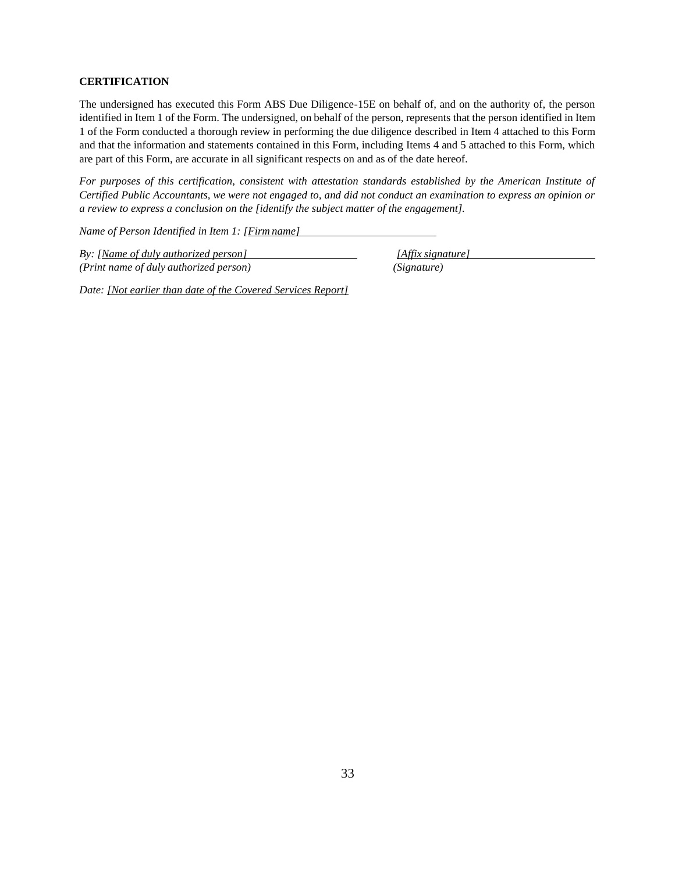#### **CERTIFICATION**

The undersigned has executed this Form ABS Due Diligence-15E on behalf of, and on the authority of, the person identified in Item 1 of the Form. The undersigned, on behalf of the person, represents that the person identified in Item 1 of the Form conducted a thorough review in performing the due diligence described in Item 4 attached to this Form and that the information and statements contained in this Form, including Items 4 and 5 attached to this Form, which are part of this Form, are accurate in all significant respects on and as of the date hereof.

*For purposes of this certification, consistent with attestation standards established by the American Institute of Certified Public Accountants, we were not engaged to, and did not conduct an examination to express an opinion or a review to express a conclusion on the [identify the subject matter of the engagement].*

*Name of Person Identified in Item 1: [Firm name]*

*By: [Name of duly authorized person] [Affix signature] (Print name of duly authorized person) (Signature)*

*Date: [Not earlier than date of the Covered Services Report]*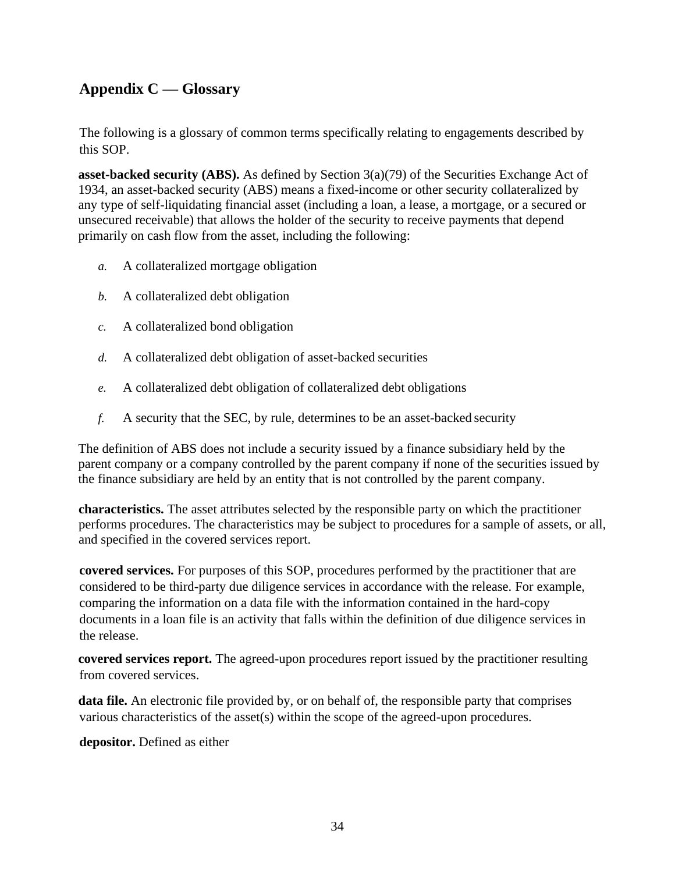# **Appendix C — Glossary**

The following is a glossary of common terms specifically relating to engagements described by this SOP.

**asset-backed security (ABS).** As defined by Section 3(a)(79) of the Securities Exchange Act of 1934, an asset-backed security (ABS) means a fixed-income or other security collateralized by any type of self-liquidating financial asset (including a loan, a lease, a mortgage, or a secured or unsecured receivable) that allows the holder of the security to receive payments that depend primarily on cash flow from the asset, including the following:

- *a.* A collateralized mortgage obligation
- *b.* A collateralized debt obligation
- *c.* A collateralized bond obligation
- *d.* A collateralized debt obligation of asset-backed securities
- *e.* A collateralized debt obligation of collateralized debt obligations
- *f.* A security that the SEC, by rule, determines to be an asset-backed security

The definition of ABS does not include a security issued by a finance subsidiary held by the parent company or a company controlled by the parent company if none of the securities issued by the finance subsidiary are held by an entity that is not controlled by the parent company.

**characteristics.** The asset attributes selected by the responsible party on which the practitioner performs procedures. The characteristics may be subject to procedures for a sample of assets, or all, and specified in the covered services report.

**covered services.** For purposes of this SOP, procedures performed by the practitioner that are considered to be third-party due diligence services in accordance with the release. For example, comparing the information on a data file with the information contained in the hard-copy documents in a loan file is an activity that falls within the definition of due diligence services in the release.

**covered services report.** The agreed-upon procedures report issued by the practitioner resulting from covered services.

**data file.** An electronic file provided by, or on behalf of, the responsible party that comprises various characteristics of the asset(s) within the scope of the agreed-upon procedures.

**depositor.** Defined as either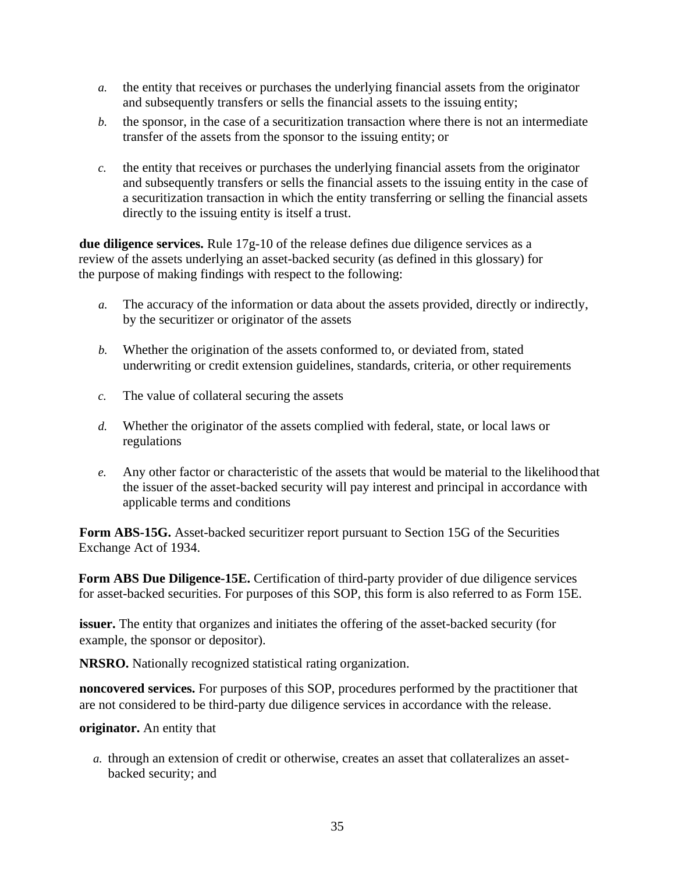- *a.* the entity that receives or purchases the underlying financial assets from the originator and subsequently transfers or sells the financial assets to the issuing entity;
- *b.* the sponsor, in the case of a securitization transaction where there is not an intermediate transfer of the assets from the sponsor to the issuing entity; or
- *c.* the entity that receives or purchases the underlying financial assets from the originator and subsequently transfers or sells the financial assets to the issuing entity in the case of a securitization transaction in which the entity transferring or selling the financial assets directly to the issuing entity is itself a trust.

**due diligence services.** Rule 17g-10 of the release defines due diligence services as a review of the assets underlying an asset-backed security (as defined in this glossary) for the purpose of making findings with respect to the following:

- *a.* The accuracy of the information or data about the assets provided, directly or indirectly, by the securitizer or originator of the assets
- *b.* Whether the origination of the assets conformed to, or deviated from, stated underwriting or credit extension guidelines, standards, criteria, or other requirements
- *c.* The value of collateral securing the assets
- *d.* Whether the originator of the assets complied with federal, state, or local laws or regulations
- *e.* Any other factor or characteristic of the assets that would be material to the likelihood that the issuer of the asset-backed security will pay interest and principal in accordance with applicable terms and conditions

**Form ABS-15G.** Asset-backed securitizer report pursuant to Section 15G of the Securities Exchange Act of 1934.

**Form ABS Due Diligence-15E.** Certification of third-party provider of due diligence services for asset-backed securities. For purposes of this SOP, this form is also referred to as Form 15E.

**issuer.** The entity that organizes and initiates the offering of the asset-backed security (for example, the sponsor or depositor).

**NRSRO.** Nationally recognized statistical rating organization.

**noncovered services.** For purposes of this SOP, procedures performed by the practitioner that are not considered to be third-party due diligence services in accordance with the release.

**originator.** An entity that

*a.* through an extension of credit or otherwise, creates an asset that collateralizes an assetbacked security; and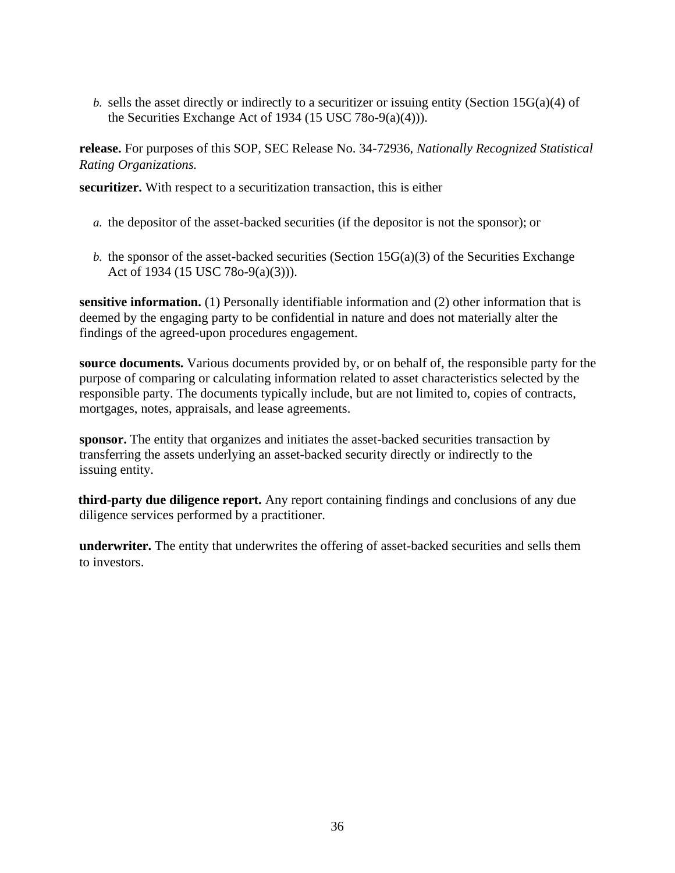*b.* sells the asset directly or indirectly to a securitizer or issuing entity (Section 15G(a)(4) of the Securities Exchange Act of 1934 (15 USC 78o-9(a)(4))).

**release.** For purposes of this SOP, SEC Release No. 34-72936, *Nationally Recognized Statistical Rating Organizations.*

**securitizer.** With respect to a securitization transaction, this is either

- *a.* the depositor of the asset-backed securities (if the depositor is not the sponsor); or
- *b.* the sponsor of the asset-backed securities (Section  $15G(a)(3)$  of the Securities Exchange Act of 1934 (15 USC 78o-9(a)(3))).

**sensitive information.** (1) Personally identifiable information and (2) other information that is deemed by the engaging party to be confidential in nature and does not materially alter the findings of the agreed-upon procedures engagement.

**source documents.** Various documents provided by, or on behalf of, the responsible party for the purpose of comparing or calculating information related to asset characteristics selected by the responsible party. The documents typically include, but are not limited to, copies of contracts, mortgages, notes, appraisals, and lease agreements.

**sponsor.** The entity that organizes and initiates the asset-backed securities transaction by transferring the assets underlying an asset-backed security directly or indirectly to the issuing entity.

**third-party due diligence report.** Any report containing findings and conclusions of any due diligence services performed by a practitioner.

**underwriter.** The entity that underwrites the offering of asset-backed securities and sells them to investors.